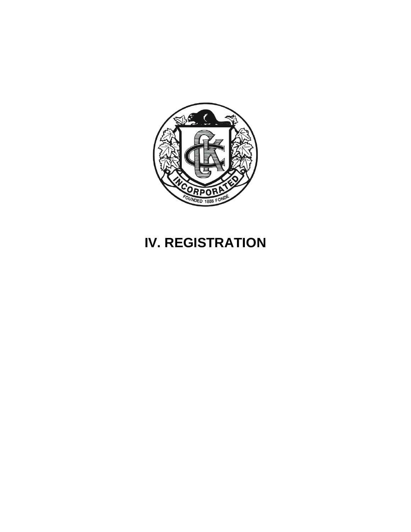

# **IV. REGISTRATION**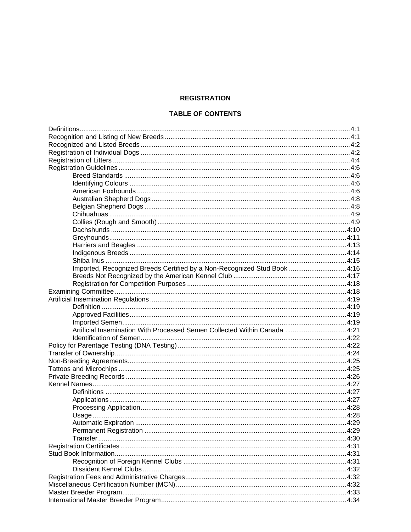#### **REGISTRATION**

#### **TABLE OF CONTENTS**

| Imported, Recognized Breeds Certified by a Non-Recognized Stud Book 4:16 |  |  |
|--------------------------------------------------------------------------|--|--|
|                                                                          |  |  |
|                                                                          |  |  |
|                                                                          |  |  |
|                                                                          |  |  |
|                                                                          |  |  |
|                                                                          |  |  |
|                                                                          |  |  |
|                                                                          |  |  |
|                                                                          |  |  |
|                                                                          |  |  |
|                                                                          |  |  |
|                                                                          |  |  |
|                                                                          |  |  |
|                                                                          |  |  |
|                                                                          |  |  |
|                                                                          |  |  |
|                                                                          |  |  |
|                                                                          |  |  |
|                                                                          |  |  |
|                                                                          |  |  |
|                                                                          |  |  |
|                                                                          |  |  |
|                                                                          |  |  |
|                                                                          |  |  |
|                                                                          |  |  |
|                                                                          |  |  |
|                                                                          |  |  |
|                                                                          |  |  |
|                                                                          |  |  |
|                                                                          |  |  |
|                                                                          |  |  |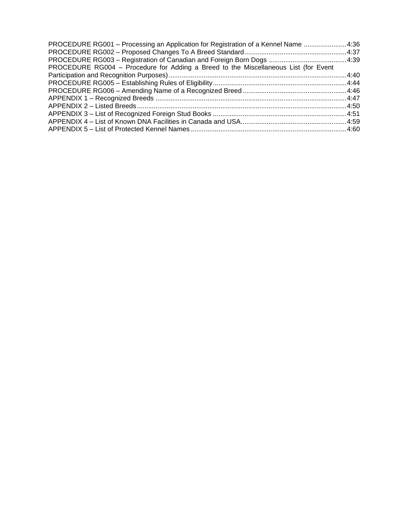| PROCEDURE RG001 - Processing an Application for Registration of a Kennel Name  4:36 |  |
|-------------------------------------------------------------------------------------|--|
|                                                                                     |  |
|                                                                                     |  |
| PROCEDURE RG004 - Procedure for Adding a Breed to the Miscellaneous List (for Event |  |
|                                                                                     |  |
|                                                                                     |  |
|                                                                                     |  |
|                                                                                     |  |
|                                                                                     |  |
|                                                                                     |  |
|                                                                                     |  |
|                                                                                     |  |
|                                                                                     |  |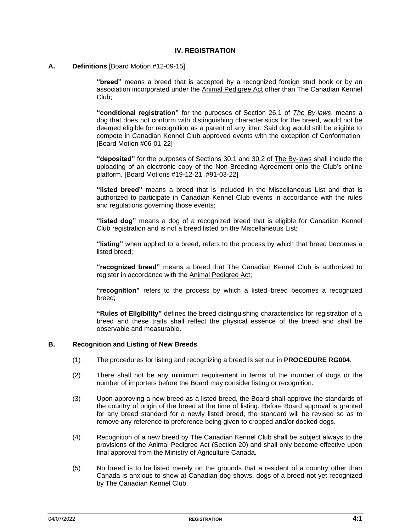#### **IV. REGISTRATION**

**A. Definitions** [Board Motion #12-09-15]

**"breed"** means a breed that is accepted by a recognized foreign stud book or by an association incorporated under the Animal Pedigree Act other than The Canadian Kennel Club;

**"conditional registration"** for the purposes of Section 26.1 of *The By-laws*, means a dog that does not conform with distinguishing characteristics for the breed, would not be deemed eligible for recognition as a parent of any litter. Said dog would still be eligible to compete in Canadian Kennel Club approved events with the exception of Conformation. [Board Motion #06-01-22]

**"deposited"** for the purposes of Sections 30.1 and 30.2 of The By-laws shall include the uploading of an electronic copy of the Non-Breeding Agreement onto the Club's online platform. [Board Motions #19-12-21, #91-03-22]

**"listed breed"** means a breed that is included in the Miscellaneous List and that is authorized to participate in Canadian Kennel Club events in accordance with the rules and regulations governing those events;

**"listed dog"** means a dog of a recognized breed that is eligible for Canadian Kennel Club registration and is not a breed listed on the Miscellaneous List;

**"listing"** when applied to a breed, refers to the process by which that breed becomes a listed breed;

**"recognized breed"** means a breed that The Canadian Kennel Club is authorized to register in accordance with the Animal Pedigree Act;

**"recognition"** refers to the process by which a listed breed becomes a recognized breed;

**"Rules of Eligibility"** defines the breed distinguishing characteristics for registration of a breed and these traits shall reflect the physical essence of the breed and shall be observable and measurable.

#### **B. Recognition and Listing of New Breeds**

- (1) The procedures for listing and recognizing a breed is set out in **PROCEDURE RG004**.
- (2) There shall not be any minimum requirement in terms of the number of dogs or the number of importers before the Board may consider listing or recognition.
- (3) Upon approving a new breed as a listed breed, the Board shall approve the standards of the country of origin of the breed at the time of listing. Before Board approval is granted for any breed standard for a newly listed breed, the standard will be revised so as to remove any reference to preference being given to cropped and/or docked dogs.
- (4) Recognition of a new breed by The Canadian Kennel Club shall be subject always to the provisions of the Animal Pedigree Act (Section 20) and shall only become effective upon final approval from the Ministry of Agriculture Canada.
- (5) No breed is to be listed merely on the grounds that a resident of a country other than Canada is anxious to show at Canadian dog shows, dogs of a breed not yet recognized by The Canadian Kennel Club.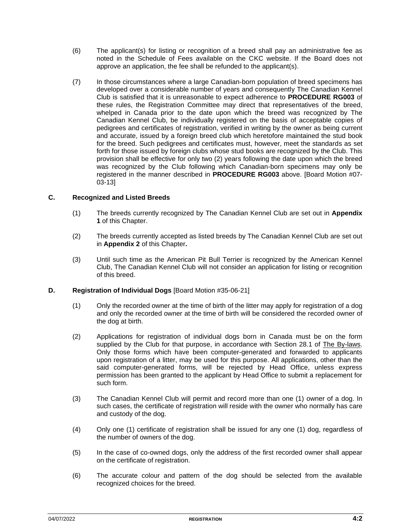- (6) The applicant(s) for listing or recognition of a breed shall pay an administrative fee as noted in the Schedule of Fees available on the CKC website. If the Board does not approve an application, the fee shall be refunded to the applicant(s).
- (7) In those circumstances where a large Canadian-born population of breed specimens has developed over a considerable number of years and consequently The Canadian Kennel Club is satisfied that it is unreasonable to expect adherence to **PROCEDURE RG003** of these rules, the Registration Committee may direct that representatives of the breed, whelped in Canada prior to the date upon which the breed was recognized by The Canadian Kennel Club, be individually registered on the basis of acceptable copies of pedigrees and certificates of registration, verified in writing by the owner as being current and accurate, issued by a foreign breed club which heretofore maintained the stud book for the breed. Such pedigrees and certificates must, however, meet the standards as set forth for those issued by foreign clubs whose stud books are recognized by the Club. This provision shall be effective for only two (2) years following the date upon which the breed was recognized by the Club following which Canadian-born specimens may only be registered in the manner described in **PROCEDURE RG003** above. [Board Motion #07- 03-13]

#### **C. Recognized and Listed Breeds**

- (1) The breeds currently recognized by The Canadian Kennel Club are set out in **Appendix 1** of this Chapter.
- (2) The breeds currently accepted as listed breeds by The Canadian Kennel Club are set out in **Appendix 2** of this Chapter**.**
- (3) Until such time as the American Pit Bull Terrier is recognized by the American Kennel Club, The Canadian Kennel Club will not consider an application for listing or recognition of this breed.

#### **D. Registration of Individual Dogs** [Board Motion #35-06-21]

- (1) Only the recorded owner at the time of birth of the litter may apply for registration of a dog and only the recorded owner at the time of birth will be considered the recorded owner of the dog at birth.
- (2) Applications for registration of individual dogs born in Canada must be on the form supplied by the Club for that purpose, in accordance with Section 28.1 of The By-laws. Only those forms which have been computer-generated and forwarded to applicants upon registration of a litter, may be used for this purpose. All applications, other than the said computer-generated forms, will be rejected by Head Office, unless express permission has been granted to the applicant by Head Office to submit a replacement for such form.
- (3) The Canadian Kennel Club will permit and record more than one (1) owner of a dog. In such cases, the certificate of registration will reside with the owner who normally has care and custody of the dog.
- (4) Only one (1) certificate of registration shall be issued for any one (1) dog, regardless of the number of owners of the dog.
- (5) In the case of co-owned dogs, only the address of the first recorded owner shall appear on the certificate of registration.
- (6) The accurate colour and pattern of the dog should be selected from the available recognized choices for the breed.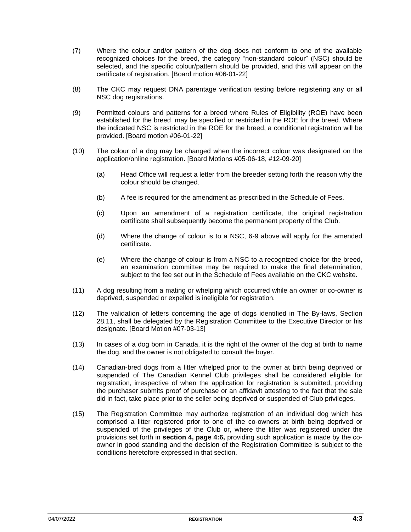- (7) Where the colour and/or pattern of the dog does not conform to one of the available recognized choices for the breed, the category "non-standard colour" (NSC) should be selected, and the specific colour/pattern should be provided, and this will appear on the certificate of registration. [Board motion #06-01-22]
- (8) The CKC may request DNA parentage verification testing before registering any or all NSC dog registrations.
- (9) Permitted colours and patterns for a breed where Rules of Eligibility (ROE) have been established for the breed, may be specified or restricted in the ROE for the breed. Where the indicated NSC is restricted in the ROE for the breed, a conditional registration will be provided. [Board motion #06-01-22]
- (10) The colour of a dog may be changed when the incorrect colour was designated on the application/online registration. [Board Motions #05-06-18, #12-09-20]
	- (a) Head Office will request a letter from the breeder setting forth the reason why the colour should be changed.
	- (b) A fee is required for the amendment as prescribed in the Schedule of Fees.
	- (c) Upon an amendment of a registration certificate, the original registration certificate shall subsequently become the permanent property of the Club.
	- (d) Where the change of colour is to a NSC, 6-9 above will apply for the amended certificate.
	- (e) Where the change of colour is from a NSC to a recognized choice for the breed, an examination committee may be required to make the final determination, subject to the fee set out in the Schedule of Fees available on the CKC website.
- (11) A dog resulting from a mating or whelping which occurred while an owner or co-owner is deprived, suspended or expelled is ineligible for registration.
- (12) The validation of letters concerning the age of dogs identified in The By-laws, Section 28.11, shall be delegated by the Registration Committee to the Executive Director or his designate. [Board Motion #07-03-13]
- (13) In cases of a dog born in Canada, it is the right of the owner of the dog at birth to name the dog, and the owner is not obligated to consult the buyer.
- (14) Canadian-bred dogs from a litter whelped prior to the owner at birth being deprived or suspended of The Canadian Kennel Club privileges shall be considered eligible for registration, irrespective of when the application for registration is submitted, providing the purchaser submits proof of purchase or an affidavit attesting to the fact that the sale did in fact, take place prior to the seller being deprived or suspended of Club privileges.
- (15) The Registration Committee may authorize registration of an individual dog which has comprised a litter registered prior to one of the co-owners at birth being deprived or suspended of the privileges of the Club or, where the litter was registered under the provisions set forth in **section 4, page 4:6,** providing such application is made by the coowner in good standing and the decision of the Registration Committee is subject to the conditions heretofore expressed in that section.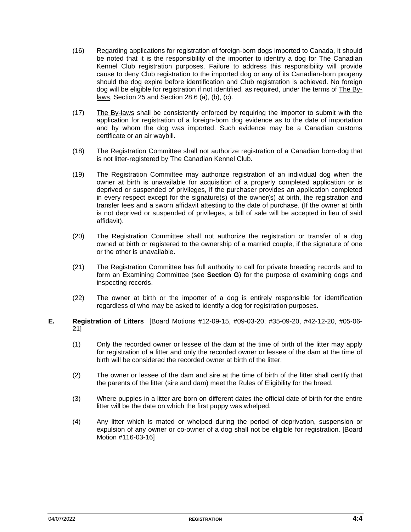- (16) Regarding applications for registration of foreign-born dogs imported to Canada, it should be noted that it is the responsibility of the importer to identify a dog for The Canadian Kennel Club registration purposes. Failure to address this responsibility will provide cause to deny Club registration to the imported dog or any of its Canadian-born progeny should the dog expire before identification and Club registration is achieved. No foreign dog will be eligible for registration if not identified, as required, under the terms of The Bylaws, Section 25 and Section 28.6 (a), (b), (c).
- (17) The By-laws shall be consistently enforced by requiring the importer to submit with the application for registration of a foreign-born dog evidence as to the date of importation and by whom the dog was imported. Such evidence may be a Canadian customs certificate or an air waybill.
- (18) The Registration Committee shall not authorize registration of a Canadian born-dog that is not litter-registered by The Canadian Kennel Club.
- (19) The Registration Committee may authorize registration of an individual dog when the owner at birth is unavailable for acquisition of a properly completed application or is deprived or suspended of privileges, if the purchaser provides an application completed in every respect except for the signature(s) of the owner(s) at birth, the registration and transfer fees and a sworn affidavit attesting to the date of purchase. (If the owner at birth is not deprived or suspended of privileges, a bill of sale will be accepted in lieu of said affidavit).
- (20) The Registration Committee shall not authorize the registration or transfer of a dog owned at birth or registered to the ownership of a married couple, if the signature of one or the other is unavailable.
- (21) The Registration Committee has full authority to call for private breeding records and to form an Examining Committee (see **Section G**) for the purpose of examining dogs and inspecting records.
- (22) The owner at birth or the importer of a dog is entirely responsible for identification regardless of who may be asked to identify a dog for registration purposes.
- **E. Registration of Litters** [Board Motions #12-09-15, #09-03-20, #35-09-20, #42-12-20, #05-06- 21]
	- (1) Only the recorded owner or lessee of the dam at the time of birth of the litter may apply for registration of a litter and only the recorded owner or lessee of the dam at the time of birth will be considered the recorded owner at birth of the litter.
	- (2) The owner or lessee of the dam and sire at the time of birth of the litter shall certify that the parents of the litter (sire and dam) meet the Rules of Eligibility for the breed.
	- (3) Where puppies in a litter are born on different dates the official date of birth for the entire litter will be the date on which the first puppy was whelped.
	- (4) Any litter which is mated or whelped during the period of deprivation, suspension or expulsion of any owner or co-owner of a dog shall not be eligible for registration. [Board Motion #116-03-16]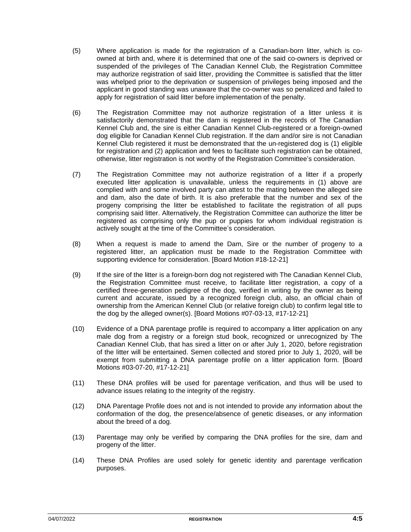- (5) Where application is made for the registration of a Canadian-born litter, which is coowned at birth and, where it is determined that one of the said co-owners is deprived or suspended of the privileges of The Canadian Kennel Club, the Registration Committee may authorize registration of said litter, providing the Committee is satisfied that the litter was whelped prior to the deprivation or suspension of privileges being imposed and the applicant in good standing was unaware that the co-owner was so penalized and failed to apply for registration of said litter before implementation of the penalty.
- (6) The Registration Committee may not authorize registration of a litter unless it is satisfactorily demonstrated that the dam is registered in the records of The Canadian Kennel Club and, the sire is either Canadian Kennel Club-registered or a foreign-owned dog eligible for Canadian Kennel Club registration. If the dam and/or sire is not Canadian Kennel Club registered it must be demonstrated that the un-registered dog is (1) eligible for registration and (2) application and fees to facilitate such registration can be obtained, otherwise, litter registration is not worthy of the Registration Committee's consideration.
- (7) The Registration Committee may not authorize registration of a litter if a properly executed litter application is unavailable, unless the requirements in (1) above are complied with and some involved party can attest to the mating between the alleged sire and dam, also the date of birth. It is also preferable that the number and sex of the progeny comprising the litter be established to facilitate the registration of all pups comprising said litter. Alternatively, the Registration Committee can authorize the litter be registered as comprising only the pup or puppies for whom individual registration is actively sought at the time of the Committee's consideration.
- (8) When a request is made to amend the Dam, Sire or the number of progeny to a registered litter, an application must be made to the Registration Committee with supporting evidence for consideration. [Board Motion #18-12-21]
- (9) If the sire of the litter is a foreign-born dog not registered with The Canadian Kennel Club, the Registration Committee must receive, to facilitate litter registration, a copy of a certified three-generation pedigree of the dog, verified in writing by the owner as being current and accurate, issued by a recognized foreign club, also, an official chain of ownership from the American Kennel Club (or relative foreign club) to confirm legal title to the dog by the alleged owner(s). [Board Motions #07-03-13, #17-12-21]
- (10) Evidence of a DNA parentage profile is required to accompany a litter application on any male dog from a registry or a foreign stud book, recognized or unrecognized by The Canadian Kennel Club, that has sired a litter on or after July 1, 2020, before registration of the litter will be entertained. Semen collected and stored prior to July 1, 2020, will be exempt from submitting a DNA parentage profile on a litter application form. [Board Motions #03-07-20, #17-12-21]
- (11) These DNA profiles will be used for parentage verification, and thus will be used to advance issues relating to the integrity of the registry.
- (12) DNA Parentage Profile does not and is not intended to provide any information about the conformation of the dog, the presence/absence of genetic diseases, or any information about the breed of a dog.
- (13) Parentage may only be verified by comparing the DNA profiles for the sire, dam and progeny of the litter.
- (14) These DNA Profiles are used solely for genetic identity and parentage verification purposes.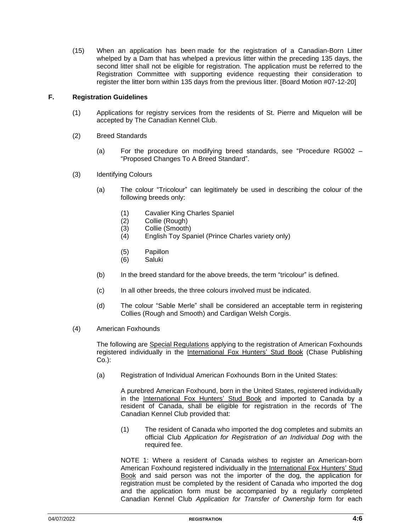(15) When an application has been made for the registration of a Canadian-Born Litter whelped by a Dam that has whelped a previous litter within the preceding 135 days, the second litter shall not be eligible for registration. The application must be referred to the Registration Committee with supporting evidence requesting their consideration to register the litter born within 135 days from the previous litter. [Board Motion #07-12-20]

#### **F. Registration Guidelines**

- (1) Applications for registry services from the residents of St. Pierre and Miquelon will be accepted by The Canadian Kennel Club.
- (2) Breed Standards
	- (a) For the procedure on modifying breed standards, see "Procedure RG002 "Proposed Changes To A Breed Standard".
- (3) Identifying Colours
	- (a) The colour "Tricolour" can legitimately be used in describing the colour of the following breeds only:
		- (1) Cavalier King Charles Spaniel
		- (2) Collie (Rough)
		- (3) Collie (Smooth)
		- (4) English Toy Spaniel (Prince Charles variety only)
		- (5) Papillon
		- (6) Saluki
	- (b) In the breed standard for the above breeds, the term "tricolour" is defined.
	- (c) In all other breeds, the three colours involved must be indicated.
	- (d) The colour "Sable Merle" shall be considered an acceptable term in registering Collies (Rough and Smooth) and Cardigan Welsh Corgis.
- (4) American Foxhounds

The following are Special Regulations applying to the registration of American Foxhounds registered individually in the International Fox Hunters' Stud Book (Chase Publishing Co.):

(a) Registration of Individual American Foxhounds Born in the United States:

A purebred American Foxhound, born in the United States, registered individually in the International Fox Hunters' Stud Book and imported to Canada by a resident of Canada, shall be eligible for registration in the records of The Canadian Kennel Club provided that:

(1) The resident of Canada who imported the dog completes and submits an official Club *Application for Registration of an Individual Dog* with the required fee.

NOTE 1: Where a resident of Canada wishes to register an American-born American Foxhound registered individually in the International Fox Hunters' Stud Book and said person was not the importer of the dog, the application for registration must be completed by the resident of Canada who imported the dog and the application form must be accompanied by a regularly completed Canadian Kennel Club *Application for Transfer of Ownership* form for each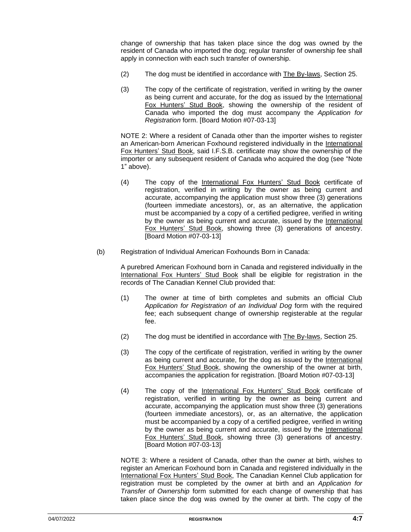change of ownership that has taken place since the dog was owned by the resident of Canada who imported the dog; regular transfer of ownership fee shall apply in connection with each such transfer of ownership.

- (2) The dog must be identified in accordance with The By-laws, Section 25.
- (3) The copy of the certificate of registration, verified in writing by the owner as being current and accurate, for the dog as issued by the International Fox Hunters' Stud Book, showing the ownership of the resident of Canada who imported the dog must accompany the *Application for Registration* form. [Board Motion #07-03-13]

NOTE 2: Where a resident of Canada other than the importer wishes to register an American-born American Foxhound registered individually in the International Fox Hunters' Stud Book, said I.F.S.B. certificate may show the ownership of the importer or any subsequent resident of Canada who acquired the dog (see "Note 1" above).

- (4) The copy of the International Fox Hunters' Stud Book certificate of registration, verified in writing by the owner as being current and accurate, accompanying the application must show three (3) generations (fourteen immediate ancestors), or, as an alternative, the application must be accompanied by a copy of a certified pedigree, verified in writing by the owner as being current and accurate, issued by the International Fox Hunters' Stud Book, showing three (3) generations of ancestry. [Board Motion #07-03-13]
- (b) Registration of Individual American Foxhounds Born in Canada:

A purebred American Foxhound born in Canada and registered individually in the International Fox Hunters' Stud Book shall be eligible for registration in the records of The Canadian Kennel Club provided that:

- (1) The owner at time of birth completes and submits an official Club *Application for Registration of an Individual Dog* form with the required fee; each subsequent change of ownership registerable at the regular fee.
- (2) The dog must be identified in accordance with The By-laws, Section 25.
- (3) The copy of the certificate of registration, verified in writing by the owner as being current and accurate, for the dog as issued by the International Fox Hunters' Stud Book, showing the ownership of the owner at birth, accompanies the application for registration. [Board Motion #07-03-13]
- (4) The copy of the International Fox Hunters' Stud Book certificate of registration, verified in writing by the owner as being current and accurate, accompanying the application must show three (3) generations (fourteen immediate ancestors), or, as an alternative, the application must be accompanied by a copy of a certified pedigree, verified in writing by the owner as being current and accurate, issued by the International Fox Hunters' Stud Book, showing three (3) generations of ancestry. [Board Motion #07-03-13]

NOTE 3: Where a resident of Canada, other than the owner at birth, wishes to register an American Foxhound born in Canada and registered individually in the International Fox Hunters' Stud Book, The Canadian Kennel Club application for registration must be completed by the owner at birth and an *Application for Transfer of Ownership* form submitted for each change of ownership that has taken place since the dog was owned by the owner at birth. The copy of the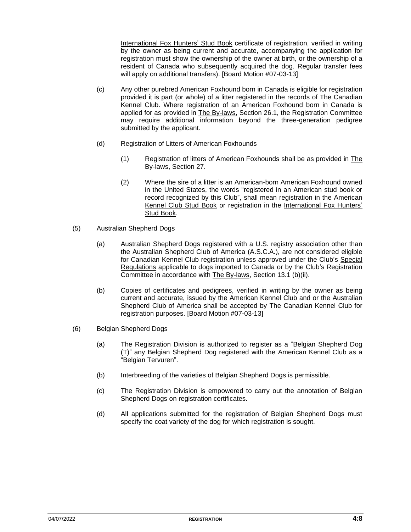International Fox Hunters' Stud Book certificate of registration, verified in writing by the owner as being current and accurate, accompanying the application for registration must show the ownership of the owner at birth, or the ownership of a resident of Canada who subsequently acquired the dog. Regular transfer fees will apply on additional transfers). [Board Motion #07-03-13]

- (c) Any other purebred American Foxhound born in Canada is eligible for registration provided it is part (or whole) of a litter registered in the records of The Canadian Kennel Club. Where registration of an American Foxhound born in Canada is applied for as provided in The By-laws, Section 26.1, the Registration Committee may require additional information beyond the three-generation pedigree submitted by the applicant.
- (d) Registration of Litters of American Foxhounds
	- (1) Registration of litters of American Foxhounds shall be as provided in The By-laws, Section 27.
	- (2) Where the sire of a litter is an American-born American Foxhound owned in the United States, the words "registered in an American stud book or record recognized by this Club", shall mean registration in the American Kennel Club Stud Book or registration in the International Fox Hunters' Stud Book.
- (5) Australian Shepherd Dogs
	- (a) Australian Shepherd Dogs registered with a U.S. registry association other than the Australian Shepherd Club of America (A.S.C.A.), are not considered eligible for Canadian Kennel Club registration unless approved under the Club's Special Regulations applicable to dogs imported to Canada or by the Club's Registration Committee in accordance with The By-laws, Section 13.1 (b)(ii).
	- (b) Copies of certificates and pedigrees, verified in writing by the owner as being current and accurate, issued by the American Kennel Club and or the Australian Shepherd Club of America shall be accepted by The Canadian Kennel Club for registration purposes. [Board Motion #07-03-13]
- (6) Belgian Shepherd Dogs
	- (a) The Registration Division is authorized to register as a "Belgian Shepherd Dog (T)" any Belgian Shepherd Dog registered with the American Kennel Club as a "Belgian Tervuren".
	- (b) Interbreeding of the varieties of Belgian Shepherd Dogs is permissible.
	- (c) The Registration Division is empowered to carry out the annotation of Belgian Shepherd Dogs on registration certificates.
	- (d) All applications submitted for the registration of Belgian Shepherd Dogs must specify the coat variety of the dog for which registration is sought.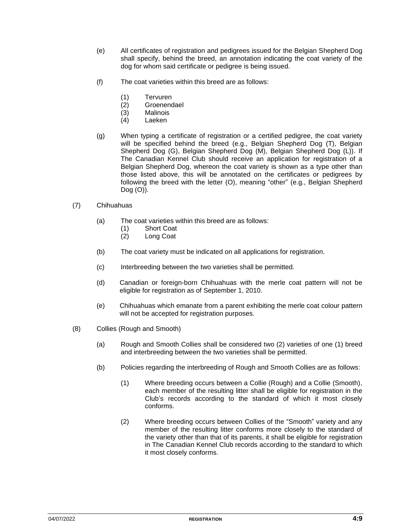- (e) All certificates of registration and pedigrees issued for the Belgian Shepherd Dog shall specify, behind the breed, an annotation indicating the coat variety of the dog for whom said certificate or pedigree is being issued.
- (f) The coat varieties within this breed are as follows:
	- (1) Tervuren
	- (2) Groenendael
	- (3) Malinois
	- (4) Laeken
- (g) When typing a certificate of registration or a certified pedigree, the coat variety will be specified behind the breed (e.g., Belgian Shepherd Dog (T), Belgian Shepherd Dog (G), Belgian Shepherd Dog (M), Belgian Shepherd Dog (L)). If The Canadian Kennel Club should receive an application for registration of a Belgian Shepherd Dog, whereon the coat variety is shown as a type other than those listed above, this will be annotated on the certificates or pedigrees by following the breed with the letter (O), meaning "other" (e.g., Belgian Shepherd Dog (O)).
- (7) Chihuahuas
	- (a) The coat varieties within this breed are as follows:
		- (1) Short Coat
		- (2) Long Coat
	- (b) The coat variety must be indicated on all applications for registration.
	- (c) Interbreeding between the two varieties shall be permitted.
	- (d) Canadian or foreign-born Chihuahuas with the merle coat pattern will not be eligible for registration as of September 1, 2010.
	- (e) Chihuahuas which emanate from a parent exhibiting the merle coat colour pattern will not be accepted for registration purposes.
- (8) Collies (Rough and Smooth)
	- (a) Rough and Smooth Collies shall be considered two (2) varieties of one (1) breed and interbreeding between the two varieties shall be permitted.
	- (b) Policies regarding the interbreeding of Rough and Smooth Collies are as follows:
		- (1) Where breeding occurs between a Collie (Rough) and a Collie (Smooth), each member of the resulting litter shall be eligible for registration in the Club's records according to the standard of which it most closely conforms.
		- (2) Where breeding occurs between Collies of the "Smooth" variety and any member of the resulting litter conforms more closely to the standard of the variety other than that of its parents, it shall be eligible for registration in The Canadian Kennel Club records according to the standard to which it most closely conforms.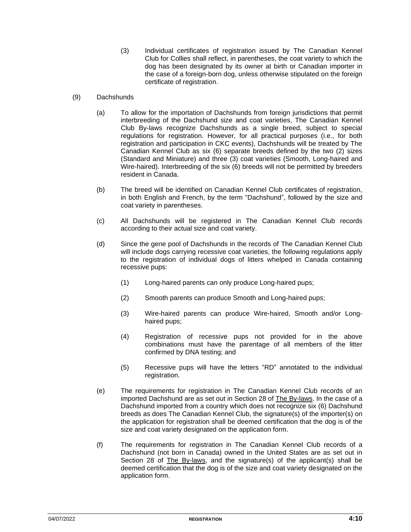- (3) Individual certificates of registration issued by The Canadian Kennel Club for Collies shall reflect, in parentheses, the coat variety to which the dog has been designated by its owner at birth or Canadian importer in the case of a foreign-born dog, unless otherwise stipulated on the foreign certificate of registration.
- (9) Dachshunds
	- (a) To allow for the importation of Dachshunds from foreign jurisdictions that permit interbreeding of the Dachshund size and coat varieties, The Canadian Kennel Club By-laws recognize Dachshunds as a single breed, subject to special regulations for registration. However, for all practical purposes (i.e., for both registration and participation in CKC events), Dachshunds will be treated by The Canadian Kennel Club as six (6) separate breeds defined by the two (2) sizes (Standard and Miniature) and three (3) coat varieties (Smooth, Long-haired and Wire-haired). Interbreeding of the six (6) breeds will not be permitted by breeders resident in Canada.
	- (b) The breed will be identified on Canadian Kennel Club certificates of registration, in both English and French, by the term "Dachshund", followed by the size and coat variety in parentheses.
	- (c) All Dachshunds will be registered in The Canadian Kennel Club records according to their actual size and coat variety.
	- (d) Since the gene pool of Dachshunds in the records of The Canadian Kennel Club will include dogs carrying recessive coat varieties, the following regulations apply to the registration of individual dogs of litters whelped in Canada containing recessive pups:
		- (1) Long-haired parents can only produce Long-haired pups;
		- (2) Smooth parents can produce Smooth and Long-haired pups;
		- (3) Wire-haired parents can produce Wire-haired, Smooth and/or Longhaired pups;
		- (4) Registration of recessive pups not provided for in the above combinations must have the parentage of all members of the litter confirmed by DNA testing; and
		- (5) Recessive pups will have the letters "RD" annotated to the individual registration.
	- (e) The requirements for registration in The Canadian Kennel Club records of an imported Dachshund are as set out in Section 28 of The By-laws. In the case of a Dachshund imported from a country which does not recognize six (6) Dachshund breeds as does The Canadian Kennel Club, the signature(s) of the importer(s) on the application for registration shall be deemed certification that the dog is of the size and coat variety designated on the application form.
	- (f) The requirements for registration in The Canadian Kennel Club records of a Dachshund (not born in Canada) owned in the United States are as set out in Section 28 of The By-laws, and the signature(s) of the applicant(s) shall be deemed certification that the dog is of the size and coat variety designated on the application form.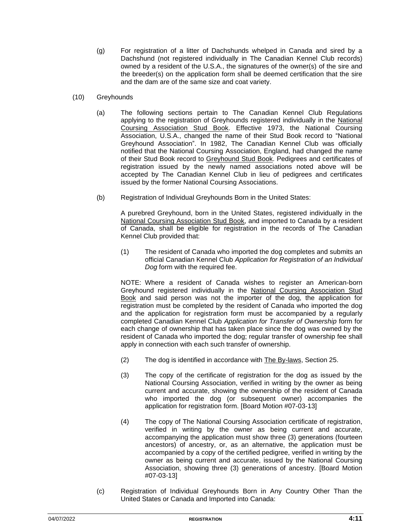- (g) For registration of a litter of Dachshunds whelped in Canada and sired by a Dachshund (not registered individually in The Canadian Kennel Club records) owned by a resident of the U.S.A., the signatures of the owner(s) of the sire and the breeder(s) on the application form shall be deemed certification that the sire and the dam are of the same size and coat variety.
- (10) Greyhounds
	- (a) The following sections pertain to The Canadian Kennel Club Regulations applying to the registration of Greyhounds registered individually in the National Coursing Association Stud Book. Effective 1973, the National Coursing Association, U.S.A., changed the name of their Stud Book record to "National Greyhound Association". In 1982, The Canadian Kennel Club was officially notified that the National Coursing Association, England, had changed the name of their Stud Book record to Greyhound Stud Book. Pedigrees and certificates of registration issued by the newly named associations noted above will be accepted by The Canadian Kennel Club in lieu of pedigrees and certificates issued by the former National Coursing Associations.
	- (b) Registration of Individual Greyhounds Born in the United States:

A purebred Greyhound, born in the United States, registered individually in the National Coursing Association Stud Book, and imported to Canada by a resident of Canada, shall be eligible for registration in the records of The Canadian Kennel Club provided that:

(1) The resident of Canada who imported the dog completes and submits an official Canadian Kennel Club *Application for Registration of an Individual Dog* form with the required fee.

NOTE: Where a resident of Canada wishes to register an American-born Greyhound registered individually in the National Coursing Association Stud Book and said person was not the importer of the dog, the application for registration must be completed by the resident of Canada who imported the dog and the application for registration form must be accompanied by a regularly completed Canadian Kennel Club *Application for Transfer of Ownership* form for each change of ownership that has taken place since the dog was owned by the resident of Canada who imported the dog; regular transfer of ownership fee shall apply in connection with each such transfer of ownership.

- (2) The dog is identified in accordance with The By-laws, Section 25.
- (3) The copy of the certificate of registration for the dog as issued by the National Coursing Association, verified in writing by the owner as being current and accurate, showing the ownership of the resident of Canada who imported the dog (or subsequent owner) accompanies the application for registration form. [Board Motion #07-03-13]
- (4) The copy of The National Coursing Association certificate of registration, verified in writing by the owner as being current and accurate, accompanying the application must show three (3) generations (fourteen ancestors) of ancestry, or, as an alternative, the application must be accompanied by a copy of the certified pedigree, verified in writing by the owner as being current and accurate, issued by the National Coursing Association, showing three (3) generations of ancestry. [Board Motion #07-03-13]
- (c) Registration of Individual Greyhounds Born in Any Country Other Than the United States or Canada and Imported into Canada: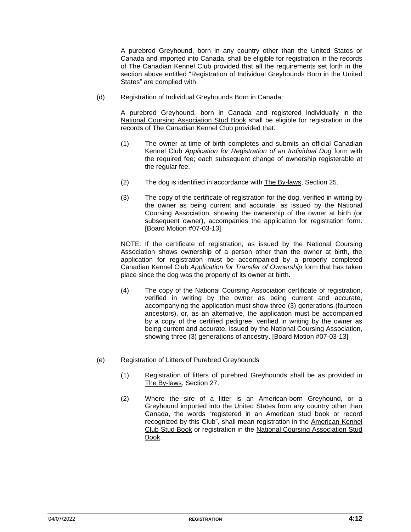A purebred Greyhound, born in any country other than the United States or Canada and imported into Canada, shall be eligible for registration in the records of The Canadian Kennel Club provided that all the requirements set forth in the section above entitled "Registration of Individual Greyhounds Born in the United States" are complied with.

(d) Registration of Individual Greyhounds Born in Canada:

A purebred Greyhound, born in Canada and registered individually in the National Coursing Association Stud Book shall be eligible for registration in the records of The Canadian Kennel Club provided that:

- (1) The owner at time of birth completes and submits an official Canadian Kennel Club *Application for Registration of an Individual Dog* form with the required fee; each subsequent change of ownership registerable at the regular fee.
- (2) The dog is identified in accordance with The By-laws, Section 25.
- (3) The copy of the certificate of registration for the dog, verified in writing by the owner as being current and accurate, as issued by the National Coursing Association, showing the ownership of the owner at birth (or subsequent owner), accompanies the application for registration form. [Board Motion #07-03-13]

NOTE: If the certificate of registration, as issued by the National Coursing Association shows ownership of a person other than the owner at birth, the application for registration must be accompanied by a properly completed Canadian Kennel Club *Application for Transfer of Ownership* form that has taken place since the dog was the property of its owner at birth.

- (4) The copy of the National Coursing Association certificate of registration, verified in writing by the owner as being current and accurate, accompanying the application must show three (3) generations (fourteen ancestors), or, as an alternative, the application must be accompanied by a copy of the certified pedigree, verified in writing by the owner as being current and accurate, issued by the National Coursing Association, showing three (3) generations of ancestry. [Board Motion #07-03-13]
- (e) Registration of Litters of Purebred Greyhounds
	- (1) Registration of litters of purebred Greyhounds shall be as provided in The By-laws, Section 27.
	- (2) Where the sire of a litter is an American-born Greyhound, or a Greyhound imported into the United States from any country other than Canada, the words "registered in an American stud book or record recognized by this Club", shall mean registration in the American Kennel Club Stud Book or registration in the National Coursing Association Stud Book.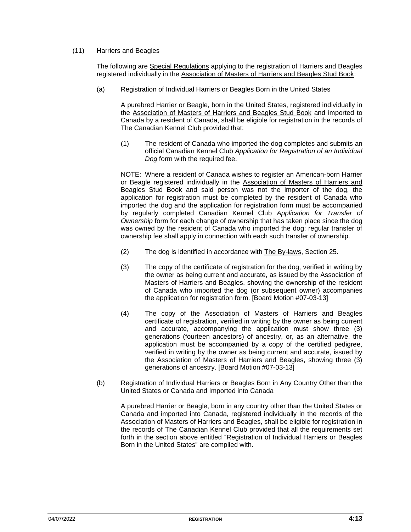#### (11) Harriers and Beagles

The following are Special Regulations applying to the registration of Harriers and Beagles registered individually in the Association of Masters of Harriers and Beagles Stud Book:

(a) Registration of Individual Harriers or Beagles Born in the United States

A purebred Harrier or Beagle, born in the United States, registered individually in the Association of Masters of Harriers and Beagles Stud Book and imported to Canada by a resident of Canada, shall be eligible for registration in the records of The Canadian Kennel Club provided that:

(1) The resident of Canada who imported the dog completes and submits an official Canadian Kennel Club *Application for Registration of an Individual Dog* form with the required fee.

NOTE: Where a resident of Canada wishes to register an American-born Harrier or Beagle registered individually in the Association of Masters of Harriers and Beagles Stud Book and said person was not the importer of the dog, the application for registration must be completed by the resident of Canada who imported the dog and the application for registration form must be accompanied by regularly completed Canadian Kennel Club *Application for Transfer of Ownership* form for each change of ownership that has taken place since the dog was owned by the resident of Canada who imported the dog; regular transfer of ownership fee shall apply in connection with each such transfer of ownership.

- (2) The dog is identified in accordance with The By-laws, Section 25.
- (3) The copy of the certificate of registration for the dog, verified in writing by the owner as being current and accurate, as issued by the Association of Masters of Harriers and Beagles, showing the ownership of the resident of Canada who imported the dog (or subsequent owner) accompanies the application for registration form. [Board Motion #07-03-13]
- (4) The copy of the Association of Masters of Harriers and Beagles certificate of registration, verified in writing by the owner as being current and accurate, accompanying the application must show three (3) generations (fourteen ancestors) of ancestry, or, as an alternative, the application must be accompanied by a copy of the certified pedigree, verified in writing by the owner as being current and accurate, issued by the Association of Masters of Harriers and Beagles, showing three (3) generations of ancestry. [Board Motion #07-03-13]
- (b) Registration of Individual Harriers or Beagles Born in Any Country Other than the United States or Canada and Imported into Canada

A purebred Harrier or Beagle, born in any country other than the United States or Canada and imported into Canada, registered individually in the records of the Association of Masters of Harriers and Beagles, shall be eligible for registration in the records of The Canadian Kennel Club provided that all the requirements set forth in the section above entitled "Registration of Individual Harriers or Beagles Born in the United States" are complied with.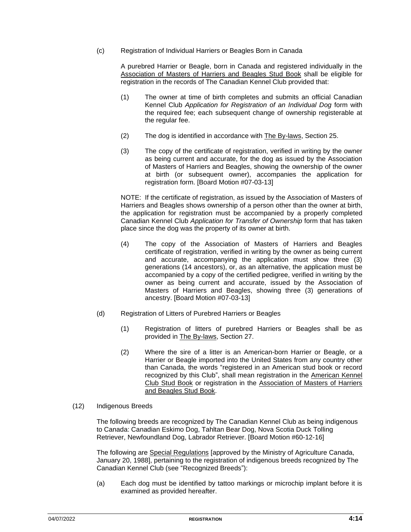(c) Registration of Individual Harriers or Beagles Born in Canada

A purebred Harrier or Beagle, born in Canada and registered individually in the Association of Masters of Harriers and Beagles Stud Book shall be eligible for registration in the records of The Canadian Kennel Club provided that:

- (1) The owner at time of birth completes and submits an official Canadian Kennel Club *Application for Registration of an Individual Dog* form with the required fee; each subsequent change of ownership registerable at the regular fee.
- (2) The dog is identified in accordance with  $\frac{7}{10}$  By-laws, Section 25.
- (3) The copy of the certificate of registration, verified in writing by the owner as being current and accurate, for the dog as issued by the Association of Masters of Harriers and Beagles, showing the ownership of the owner at birth (or subsequent owner), accompanies the application for registration form. [Board Motion #07-03-13]

NOTE: If the certificate of registration, as issued by the Association of Masters of Harriers and Beagles shows ownership of a person other than the owner at birth, the application for registration must be accompanied by a properly completed Canadian Kennel Club *Application for Transfer of Ownership* form that has taken place since the dog was the property of its owner at birth.

- (4) The copy of the Association of Masters of Harriers and Beagles certificate of registration, verified in writing by the owner as being current and accurate, accompanying the application must show three (3) generations (14 ancestors), or, as an alternative, the application must be accompanied by a copy of the certified pedigree, verified in writing by the owner as being current and accurate, issued by the Association of Masters of Harriers and Beagles, showing three (3) generations of ancestry. [Board Motion #07-03-13]
- (d) Registration of Litters of Purebred Harriers or Beagles
	- (1) Registration of litters of purebred Harriers or Beagles shall be as provided in The By-laws, Section 27.
	- (2) Where the sire of a litter is an American-born Harrier or Beagle, or a Harrier or Beagle imported into the United States from any country other than Canada, the words "registered in an American stud book or record recognized by this Club", shall mean registration in the American Kennel Club Stud Book or registration in the Association of Masters of Harriers and Beagles Stud Book.
- (12) Indigenous Breeds

The following breeds are recognized by The Canadian Kennel Club as being indigenous to Canada: Canadian Eskimo Dog, Tahltan Bear Dog, Nova Scotia Duck Tolling Retriever, Newfoundland Dog, Labrador Retriever. [Board Motion #60-12-16]

The following are Special Regulations [approved by the Ministry of Agriculture Canada, January 20, 1988], pertaining to the registration of indigenous breeds recognized by The Canadian Kennel Club (see "Recognized Breeds"):

(a) Each dog must be identified by tattoo markings or microchip implant before it is examined as provided hereafter.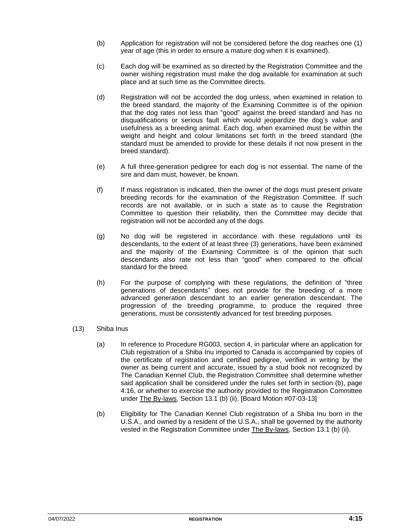- (b) Application for registration will not be considered before the dog reaches one (1) year of age (this in order to ensure a mature dog when it is examined).
- (c) Each dog will be examined as so directed by the Registration Committee and the owner wishing registration must make the dog available for examination at such place and at such time as the Committee directs.
- (d) Registration will not be accorded the dog unless, when examined in relation to the breed standard, the majority of the Examining Committee is of the opinion that the dog rates not less than "good" against the breed standard and has no disqualifications or serious fault which would jeopardize the dog's value and usefulness as a breeding animal. Each dog, when examined must be within the weight and height and colour limitations set forth in the breed standard (the standard must be amended to provide for these details if not now present in the breed standard).
- (e) A full three-generation pedigree for each dog is not essential. The name of the sire and dam must, however, be known.
- (f) If mass registration is indicated, then the owner of the dogs must present private breeding records for the examination of the Registration Committee. If such records are not available, or in such a state as to cause the Registration Committee to question their reliability, then the Committee may decide that registration will not be accorded any of the dogs.
- (g) No dog will be registered in accordance with these regulations until its descendants, to the extent of at least three (3) generations, have been examined and the majority of the Examining Committee is of the opinion that such descendants also rate not less than "good" when compared to the official standard for the breed.
- (h) For the purpose of complying with these regulations, the definition of "three generations of descendants" does not provide for the breeding of a more advanced generation descendant to an earlier generation descendant. The progression of the breeding programme, to produce the required three generations, must be consistently advanced for test breeding purposes.
- (13) Shiba Inus
	- (a) In reference to Procedure RG003, section 4, in particular where an application for Club registration of a Shiba Inu imported to Canada is accompanied by copies of the certificate of registration and certified pedigree, verified in writing by the owner as being current and accurate, issued by a stud book not recognized by The Canadian Kennel Club, the Registration Committee shall determine whether said application shall be considered under the rules set forth in section (b), page 4:16, or whether to exercise the authority provided to the Registration Committee under The By-laws, Section 13.1 (b) (ii). [Board Motion #07-03-13]
	- (b) Eligibility for The Canadian Kennel Club registration of a Shiba Inu born in the U.S.A., and owned by a resident of the U.S.A., shall be governed by the authority vested in the Registration Committee under The By-laws, Section 13.1 (b) (ii).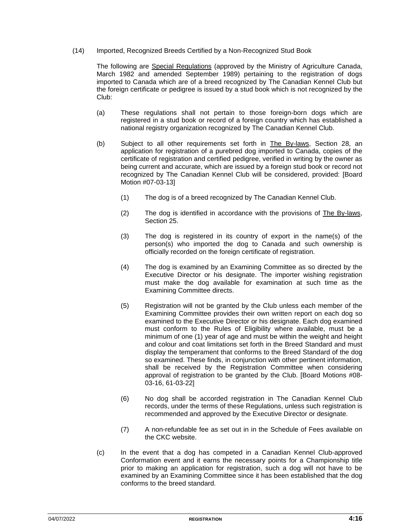(14) Imported, Recognized Breeds Certified by a Non-Recognized Stud Book

The following are Special Regulations (approved by the Ministry of Agriculture Canada, March 1982 and amended September 1989) pertaining to the registration of dogs imported to Canada which are of a breed recognized by The Canadian Kennel Club but the foreign certificate or pedigree is issued by a stud book which is not recognized by the Club:

- (a) These regulations shall not pertain to those foreign-born dogs which are registered in a stud book or record of a foreign country which has established a national registry organization recognized by The Canadian Kennel Club.
- (b) Subject to all other requirements set forth in The By-laws, Section 28, an application for registration of a purebred dog imported to Canada, copies of the certificate of registration and certified pedigree, verified in writing by the owner as being current and accurate, which are issued by a foreign stud book or record not recognized by The Canadian Kennel Club will be considered, provided: [Board Motion #07-03-13]
	- (1) The dog is of a breed recognized by The Canadian Kennel Club.
	- (2) The dog is identified in accordance with the provisions of The By-laws, Section 25.
	- (3) The dog is registered in its country of export in the name(s) of the person(s) who imported the dog to Canada and such ownership is officially recorded on the foreign certificate of registration.
	- (4) The dog is examined by an Examining Committee as so directed by the Executive Director or his designate. The importer wishing registration must make the dog available for examination at such time as the Examining Committee directs.
	- (5) Registration will not be granted by the Club unless each member of the Examining Committee provides their own written report on each dog so examined to the Executive Director or his designate. Each dog examined must conform to the Rules of Eligibility where available, must be a minimum of one (1) year of age and must be within the weight and height and colour and coat limitations set forth in the Breed Standard and must display the temperament that conforms to the Breed Standard of the dog so examined. These finds, in conjunction with other pertinent information, shall be received by the Registration Committee when considering approval of registration to be granted by the Club. [Board Motions #08- 03-16, 61-03-22]
	- (6) No dog shall be accorded registration in The Canadian Kennel Club records, under the terms of these Regulations, unless such registration is recommended and approved by the Executive Director or designate.
	- (7) A non-refundable fee as set out in in the Schedule of Fees available on the CKC website.
- (c) In the event that a dog has competed in a Canadian Kennel Club-approved Conformation event and it earns the necessary points for a Championship title prior to making an application for registration, such a dog will not have to be examined by an Examining Committee since it has been established that the dog conforms to the breed standard.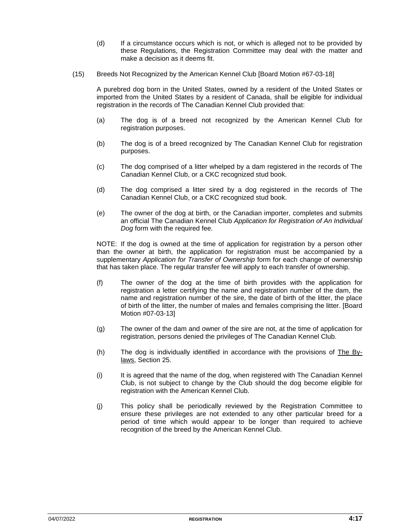- (d) If a circumstance occurs which is not, or which is alleged not to be provided by these Regulations, the Registration Committee may deal with the matter and make a decision as it deems fit.
- (15) Breeds Not Recognized by the American Kennel Club [Board Motion #67-03-18]

A purebred dog born in the United States, owned by a resident of the United States or imported from the United States by a resident of Canada, shall be eligible for individual registration in the records of The Canadian Kennel Club provided that:

- (a) The dog is of a breed not recognized by the American Kennel Club for registration purposes.
- (b) The dog is of a breed recognized by The Canadian Kennel Club for registration purposes.
- (c) The dog comprised of a litter whelped by a dam registered in the records of The Canadian Kennel Club, or a CKC recognized stud book.
- (d) The dog comprised a litter sired by a dog registered in the records of The Canadian Kennel Club, or a CKC recognized stud book.
- (e) The owner of the dog at birth, or the Canadian importer, completes and submits an official The Canadian Kennel Club *Application for Registration of An Individual Dog* form with the required fee.

NOTE: If the dog is owned at the time of application for registration by a person other than the owner at birth, the application for registration must be accompanied by a supplementary *Application for Transfer of Ownership* form for each change of ownership that has taken place. The regular transfer fee will apply to each transfer of ownership.

- (f) The owner of the dog at the time of birth provides with the application for registration a letter certifying the name and registration number of the dam, the name and registration number of the sire, the date of birth of the litter, the place of birth of the litter, the number of males and females comprising the litter. [Board Motion #07-03-13]
- (g) The owner of the dam and owner of the sire are not, at the time of application for registration, persons denied the privileges of The Canadian Kennel Club.
- (h) The dog is individually identified in accordance with the provisions of The Bylaws, Section 25.
- (i) It is agreed that the name of the dog, when registered with The Canadian Kennel Club, is not subject to change by the Club should the dog become eligible for registration with the American Kennel Club.
- (j) This policy shall be periodically reviewed by the Registration Committee to ensure these privileges are not extended to any other particular breed for a period of time which would appear to be longer than required to achieve recognition of the breed by the American Kennel Club.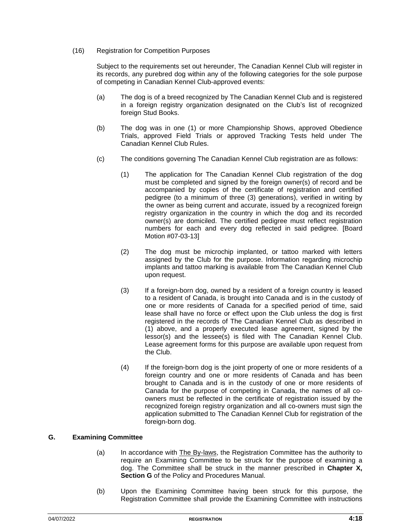#### (16) Registration for Competition Purposes

Subject to the requirements set out hereunder, The Canadian Kennel Club will register in its records, any purebred dog within any of the following categories for the sole purpose of competing in Canadian Kennel Club-approved events:

- (a) The dog is of a breed recognized by The Canadian Kennel Club and is registered in a foreign registry organization designated on the Club's list of recognized foreign Stud Books.
- (b) The dog was in one (1) or more Championship Shows, approved Obedience Trials, approved Field Trials or approved Tracking Tests held under The Canadian Kennel Club Rules.
- (c) The conditions governing The Canadian Kennel Club registration are as follows:
	- (1) The application for The Canadian Kennel Club registration of the dog must be completed and signed by the foreign owner(s) of record and be accompanied by copies of the certificate of registration and certified pedigree (to a minimum of three (3) generations), verified in writing by the owner as being current and accurate, issued by a recognized foreign registry organization in the country in which the dog and its recorded owner(s) are domiciled. The certified pedigree must reflect registration numbers for each and every dog reflected in said pedigree. [Board Motion #07-03-13]
	- (2) The dog must be microchip implanted, or tattoo marked with letters assigned by the Club for the purpose. Information regarding microchip implants and tattoo marking is available from The Canadian Kennel Club upon request.
	- (3) If a foreign-born dog, owned by a resident of a foreign country is leased to a resident of Canada, is brought into Canada and is in the custody of one or more residents of Canada for a specified period of time, said lease shall have no force or effect upon the Club unless the dog is first registered in the records of The Canadian Kennel Club as described in (1) above, and a properly executed lease agreement, signed by the lessor(s) and the lessee(s) is filed with The Canadian Kennel Club. Lease agreement forms for this purpose are available upon request from the Club.
	- (4) If the foreign-born dog is the joint property of one or more residents of a foreign country and one or more residents of Canada and has been brought to Canada and is in the custody of one or more residents of Canada for the purpose of competing in Canada, the names of all coowners must be reflected in the certificate of registration issued by the recognized foreign registry organization and all co-owners must sign the application submitted to The Canadian Kennel Club for registration of the foreign-born dog.

#### **G. Examining Committee**

- (a) In accordance with The By-laws, the Registration Committee has the authority to require an Examining Committee to be struck for the purpose of examining a dog. The Committee shall be struck in the manner prescribed in **Chapter X, Section G** of the Policy and Procedures Manual.
- (b) Upon the Examining Committee having been struck for this purpose, the Registration Committee shall provide the Examining Committee with instructions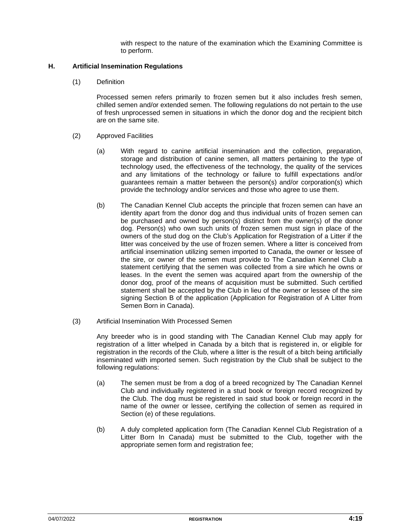with respect to the nature of the examination which the Examining Committee is to perform.

#### **H. Artificial Insemination Regulations**

(1) Definition

Processed semen refers primarily to frozen semen but it also includes fresh semen, chilled semen and/or extended semen. The following regulations do not pertain to the use of fresh unprocessed semen in situations in which the donor dog and the recipient bitch are on the same site.

- (2) Approved Facilities
	- (a) With regard to canine artificial insemination and the collection, preparation, storage and distribution of canine semen, all matters pertaining to the type of technology used, the effectiveness of the technology, the quality of the services and any limitations of the technology or failure to fulfill expectations and/or guarantees remain a matter between the person(s) and/or corporation(s) which provide the technology and/or services and those who agree to use them.
	- (b) The Canadian Kennel Club accepts the principle that frozen semen can have an identity apart from the donor dog and thus individual units of frozen semen can be purchased and owned by person(s) distinct from the owner(s) of the donor dog. Person(s) who own such units of frozen semen must sign in place of the owners of the stud dog on the Club's Application for Registration of a Litter if the litter was conceived by the use of frozen semen. Where a litter is conceived from artificial insemination utilizing semen imported to Canada, the owner or lessee of the sire, or owner of the semen must provide to The Canadian Kennel Club a statement certifying that the semen was collected from a sire which he owns or leases. In the event the semen was acquired apart from the ownership of the donor dog, proof of the means of acquisition must be submitted. Such certified statement shall be accepted by the Club in lieu of the owner or lessee of the sire signing Section B of the application (Application for Registration of A Litter from Semen Born in Canada).
- (3) Artificial Insemination With Processed Semen

Any breeder who is in good standing with The Canadian Kennel Club may apply for registration of a litter whelped in Canada by a bitch that is registered in, or eligible for registration in the records of the Club, where a litter is the result of a bitch being artificially inseminated with imported semen. Such registration by the Club shall be subject to the following regulations:

- (a) The semen must be from a dog of a breed recognized by The Canadian Kennel Club and individually registered in a stud book or foreign record recognized by the Club. The dog must be registered in said stud book or foreign record in the name of the owner or lessee, certifying the collection of semen as required in Section (e) of these regulations.
- (b) A duly completed application form (The Canadian Kennel Club Registration of a Litter Born In Canada) must be submitted to the Club, together with the appropriate semen form and registration fee;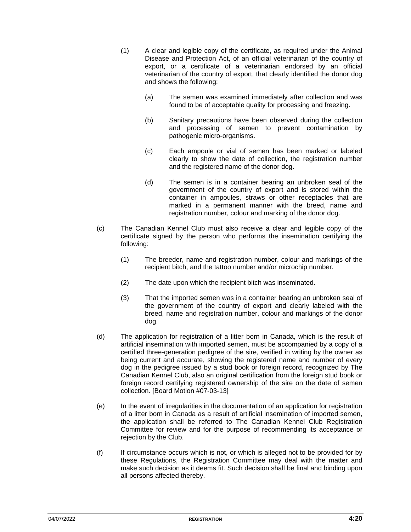- (1) A clear and legible copy of the certificate, as required under the Animal Disease and Protection Act, of an official veterinarian of the country of export, or a certificate of a veterinarian endorsed by an official veterinarian of the country of export, that clearly identified the donor dog and shows the following:
	- (a) The semen was examined immediately after collection and was found to be of acceptable quality for processing and freezing.
	- (b) Sanitary precautions have been observed during the collection and processing of semen to prevent contamination by pathogenic micro-organisms.
	- (c) Each ampoule or vial of semen has been marked or labeled clearly to show the date of collection, the registration number and the registered name of the donor dog.
	- (d) The semen is in a container bearing an unbroken seal of the government of the country of export and is stored within the container in ampoules, straws or other receptacles that are marked in a permanent manner with the breed, name and registration number, colour and marking of the donor dog.
- (c) The Canadian Kennel Club must also receive a clear and legible copy of the certificate signed by the person who performs the insemination certifying the following:
	- (1) The breeder, name and registration number, colour and markings of the recipient bitch, and the tattoo number and/or microchip number.
	- (2) The date upon which the recipient bitch was inseminated.
	- (3) That the imported semen was in a container bearing an unbroken seal of the government of the country of export and clearly labeled with the breed, name and registration number, colour and markings of the donor dog.
- (d) The application for registration of a litter born in Canada, which is the result of artificial insemination with imported semen, must be accompanied by a copy of a certified three-generation pedigree of the sire, verified in writing by the owner as being current and accurate, showing the registered name and number of every dog in the pedigree issued by a stud book or foreign record, recognized by The Canadian Kennel Club, also an original certification from the foreign stud book or foreign record certifying registered ownership of the sire on the date of semen collection. [Board Motion #07-03-13]
- (e) In the event of irregularities in the documentation of an application for registration of a litter born in Canada as a result of artificial insemination of imported semen, the application shall be referred to The Canadian Kennel Club Registration Committee for review and for the purpose of recommending its acceptance or rejection by the Club.
- (f) If circumstance occurs which is not, or which is alleged not to be provided for by these Regulations, the Registration Committee may deal with the matter and make such decision as it deems fit. Such decision shall be final and binding upon all persons affected thereby.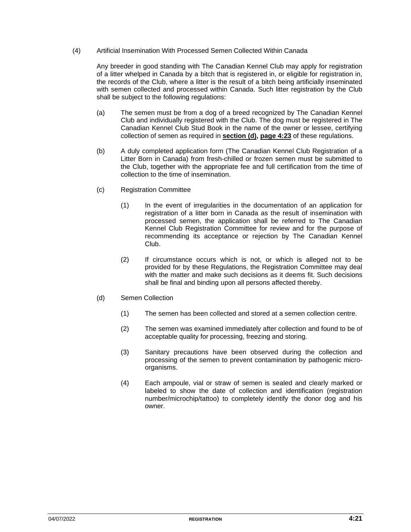#### (4) Artificial Insemination With Processed Semen Collected Within Canada

Any breeder in good standing with The Canadian Kennel Club may apply for registration of a litter whelped in Canada by a bitch that is registered in, or eligible for registration in, the records of the Club, where a litter is the result of a bitch being artificially inseminated with semen collected and processed within Canada. Such litter registration by the Club shall be subject to the following regulations:

- (a) The semen must be from a dog of a breed recognized by The Canadian Kennel Club and individually registered with the Club. The dog must be registered in The Canadian Kennel Club Stud Book in the name of the owner or lessee, certifying collection of semen as required in **section (d), page 4:23** of these regulations.
- (b) A duly completed application form (The Canadian Kennel Club Registration of a Litter Born in Canada) from fresh-chilled or frozen semen must be submitted to the Club, together with the appropriate fee and full certification from the time of collection to the time of insemination.
- (c) Registration Committee
	- (1) In the event of irregularities in the documentation of an application for registration of a litter born in Canada as the result of insemination with processed semen, the application shall be referred to The Canadian Kennel Club Registration Committee for review and for the purpose of recommending its acceptance or rejection by The Canadian Kennel Club.
	- (2) If circumstance occurs which is not, or which is alleged not to be provided for by these Regulations, the Registration Committee may deal with the matter and make such decisions as it deems fit. Such decisions shall be final and binding upon all persons affected thereby.
- (d) Semen Collection
	- (1) The semen has been collected and stored at a semen collection centre.
	- (2) The semen was examined immediately after collection and found to be of acceptable quality for processing, freezing and storing.
	- (3) Sanitary precautions have been observed during the collection and processing of the semen to prevent contamination by pathogenic microorganisms.
	- (4) Each ampoule, vial or straw of semen is sealed and clearly marked or labeled to show the date of collection and identification (registration number/microchip/tattoo) to completely identify the donor dog and his owner.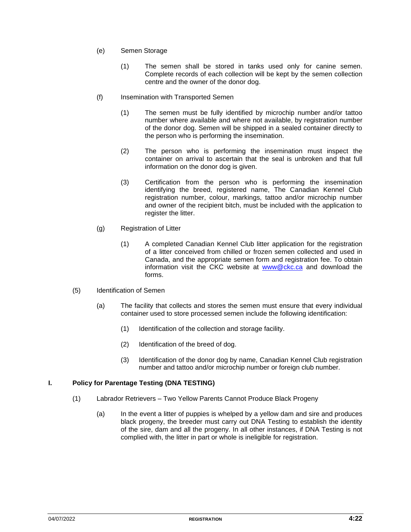- (e) Semen Storage
	- (1) The semen shall be stored in tanks used only for canine semen. Complete records of each collection will be kept by the semen collection centre and the owner of the donor dog.
- (f) Insemination with Transported Semen
	- (1) The semen must be fully identified by microchip number and/or tattoo number where available and where not available, by registration number of the donor dog. Semen will be shipped in a sealed container directly to the person who is performing the insemination.
	- (2) The person who is performing the insemination must inspect the container on arrival to ascertain that the seal is unbroken and that full information on the donor dog is given.
	- (3) Certification from the person who is performing the insemination identifying the breed, registered name, The Canadian Kennel Club registration number, colour, markings, tattoo and/or microchip number and owner of the recipient bitch, must be included with the application to register the litter.
- (g) Registration of Litter
	- (1) A completed Canadian Kennel Club litter application for the registration of a litter conceived from chilled or frozen semen collected and used in Canada, and the appropriate semen form and registration fee. To obtain information visit the CKC website at [www@ckc.ca](mailto:www@ckc.ca) and download the forms.
- (5) Identification of Semen
	- (a) The facility that collects and stores the semen must ensure that every individual container used to store processed semen include the following identification:
		- (1) Identification of the collection and storage facility.
		- (2) Identification of the breed of dog.
		- (3) Identification of the donor dog by name, Canadian Kennel Club registration number and tattoo and/or microchip number or foreign club number.

#### **I. Policy for Parentage Testing (DNA TESTING)**

- (1) Labrador Retrievers Two Yellow Parents Cannot Produce Black Progeny
	- (a) In the event a litter of puppies is whelped by a yellow dam and sire and produces black progeny, the breeder must carry out DNA Testing to establish the identity of the sire, dam and all the progeny. In all other instances, if DNA Testing is not complied with, the litter in part or whole is ineligible for registration.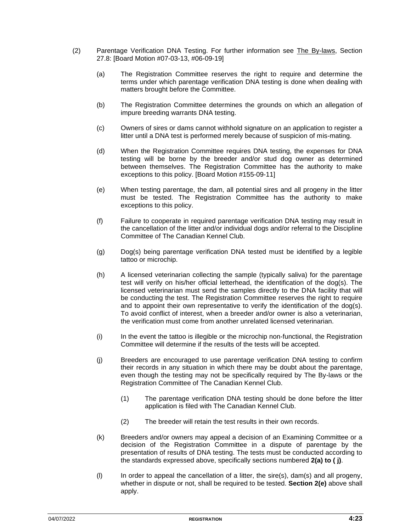- (2) Parentage Verification DNA Testing. For further information see The By-laws, Section 27.8: [Board Motion #07-03-13, #06-09-19]
	- (a) The Registration Committee reserves the right to require and determine the terms under which parentage verification DNA testing is done when dealing with matters brought before the Committee.
	- (b) The Registration Committee determines the grounds on which an allegation of impure breeding warrants DNA testing.
	- (c) Owners of sires or dams cannot withhold signature on an application to register a litter until a DNA test is performed merely because of suspicion of mis-mating.
	- (d) When the Registration Committee requires DNA testing, the expenses for DNA testing will be borne by the breeder and/or stud dog owner as determined between themselves. The Registration Committee has the authority to make exceptions to this policy. [Board Motion #155-09-11]
	- (e) When testing parentage, the dam, all potential sires and all progeny in the litter must be tested. The Registration Committee has the authority to make exceptions to this policy.
	- (f) Failure to cooperate in required parentage verification DNA testing may result in the cancellation of the litter and/or individual dogs and/or referral to the Discipline Committee of The Canadian Kennel Club.
	- (g) Dog(s) being parentage verification DNA tested must be identified by a legible tattoo or microchip.
	- (h) A licensed veterinarian collecting the sample (typically saliva) for the parentage test will verify on his/her official letterhead, the identification of the dog(s). The licensed veterinarian must send the samples directly to the DNA facility that will be conducting the test. The Registration Committee reserves the right to require and to appoint their own representative to verify the identification of the dog(s). To avoid conflict of interest, when a breeder and/or owner is also a veterinarian, the verification must come from another unrelated licensed veterinarian.
	- (i) In the event the tattoo is illegible or the microchip non-functional, the Registration Committee will determine if the results of the tests will be accepted.
	- (j) Breeders are encouraged to use parentage verification DNA testing to confirm their records in any situation in which there may be doubt about the parentage, even though the testing may not be specifically required by The By-laws or the Registration Committee of The Canadian Kennel Club.
		- (1) The parentage verification DNA testing should be done before the litter application is filed with The Canadian Kennel Club.
		- (2) The breeder will retain the test results in their own records.
	- (k) Breeders and/or owners may appeal a decision of an Examining Committee or a decision of the Registration Committee in a dispute of parentage by the presentation of results of DNA testing. The tests must be conducted according to the standards expressed above, specifically sections numbered **2(a) to ( j)**.
	- (l) In order to appeal the cancellation of a litter, the sire(s), dam(s) and all progeny, whether in dispute or not, shall be required to be tested. **Section 2(e)** above shall apply.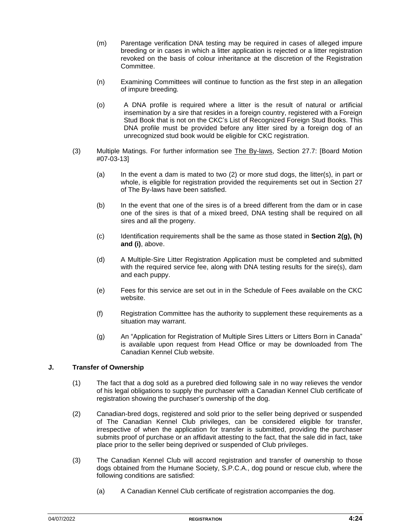- (m) Parentage verification DNA testing may be required in cases of alleged impure breeding or in cases in which a litter application is rejected or a litter registration revoked on the basis of colour inheritance at the discretion of the Registration Committee.
- (n) Examining Committees will continue to function as the first step in an allegation of impure breeding.
- (o) A DNA profile is required where a litter is the result of natural or artificial insemination by a sire that resides in a foreign country, registered with a Foreign Stud Book that is not on the CKC's List of Recognized Foreign Stud Books. This DNA profile must be provided before any litter sired by a foreign dog of an unrecognized stud book would be eligible for CKC registration.
- (3) Multiple Matings. For further information see The By-laws, Section 27.7: [Board Motion #07-03-13]
	- (a) In the event a dam is mated to two (2) or more stud dogs, the litter(s), in part or whole, is eligible for registration provided the requirements set out in Section 27 of The By-laws have been satisfied.
	- (b) In the event that one of the sires is of a breed different from the dam or in case one of the sires is that of a mixed breed, DNA testing shall be required on all sires and all the progeny.
	- (c) Identification requirements shall be the same as those stated in **Section 2(g), (h) and (i)**, above.
	- (d) A Multiple-Sire Litter Registration Application must be completed and submitted with the required service fee, along with DNA testing results for the sire(s), dam and each puppy.
	- (e) Fees for this service are set out in in the Schedule of Fees available on the CKC website.
	- (f) Registration Committee has the authority to supplement these requirements as a situation may warrant.
	- (g) An "Application for Registration of Multiple Sires Litters or Litters Born in Canada" is available upon request from Head Office or may be downloaded from The Canadian Kennel Club website.

#### **J. Transfer of Ownership**

- (1) The fact that a dog sold as a purebred died following sale in no way relieves the vendor of his legal obligations to supply the purchaser with a Canadian Kennel Club certificate of registration showing the purchaser's ownership of the dog.
- (2) Canadian-bred dogs, registered and sold prior to the seller being deprived or suspended of The Canadian Kennel Club privileges, can be considered eligible for transfer, irrespective of when the application for transfer is submitted, providing the purchaser submits proof of purchase or an affidavit attesting to the fact, that the sale did in fact, take place prior to the seller being deprived or suspended of Club privileges.
- (3) The Canadian Kennel Club will accord registration and transfer of ownership to those dogs obtained from the Humane Society, S.P.C.A., dog pound or rescue club, where the following conditions are satisfied:
	- (a) A Canadian Kennel Club certificate of registration accompanies the dog.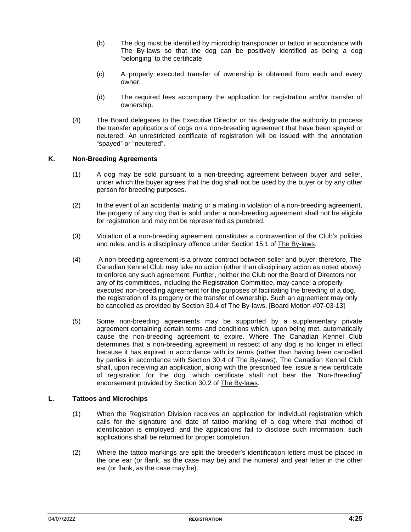- (b) The dog must be identified by microchip transponder or tattoo in accordance with The By-laws so that the dog can be positively identified as being a dog 'belonging' to the certificate.
- (c) A properly executed transfer of ownership is obtained from each and every owner.
- (d) The required fees accompany the application for registration and/or transfer of ownership.
- (4) The Board delegates to the Executive Director or his designate the authority to process the transfer applications of dogs on a non-breeding agreement that have been spayed or neutered. An unrestricted certificate of registration will be issued with the annotation "spayed" or "neutered".

#### **K. Non-Breeding Agreements**

- (1) A dog may be sold pursuant to a non-breeding agreement between buyer and seller, under which the buyer agrees that the dog shall not be used by the buyer or by any other person for breeding purposes.
- (2) In the event of an accidental mating or a mating in violation of a non-breeding agreement, the progeny of any dog that is sold under a non-breeding agreement shall not be eligible for registration and may not be represented as purebred.
- (3) Violation of a non-breeding agreement constitutes a contravention of the Club's policies and rules; and is a disciplinary offence under Section 15.1 of The By-laws.
- (4) A non-breeding agreement is a private contract between seller and buyer; therefore, The Canadian Kennel Club may take no action (other than disciplinary action as noted above) to enforce any such agreement. Further, neither the Club nor the Board of Directors nor any of its committees, including the Registration Committee, may cancel a properly executed non-breeding agreement for the purposes of facilitating the breeding of a dog, the registration of its progeny or the transfer of ownership. Such an agreement may only be cancelled as provided by Section 30.4 of The By-laws. [Board Motion #07-03-13]
- (5) Some non-breeding agreements may be supported by a supplementary private agreement containing certain terms and conditions which, upon being met, automatically cause the non-breeding agreement to expire. Where The Canadian Kennel Club determines that a non-breeding agreement in respect of any dog is no longer in effect because it has expired in accordance with its terms (rather than having been cancelled by parties in accordance with Section 30.4 of The By-laws), The Canadian Kennel Club shall, upon receiving an application, along with the prescribed fee, issue a new certificate of registration for the dog, which certificate shall not bear the "Non-Breeding" endorsement provided by Section 30.2 of The By-laws.

#### **L. Tattoos and Microchips**

- (1) When the Registration Division receives an application for individual registration which calls for the signature and date of tattoo marking of a dog where that method of identification is employed, and the applications fail to disclose such information, such applications shall be returned for proper completion.
- (2) Where the tattoo markings are split the breeder's identification letters must be placed in the one ear (or flank, as the case may be) and the numeral and year letter in the other ear (or flank, as the case may be).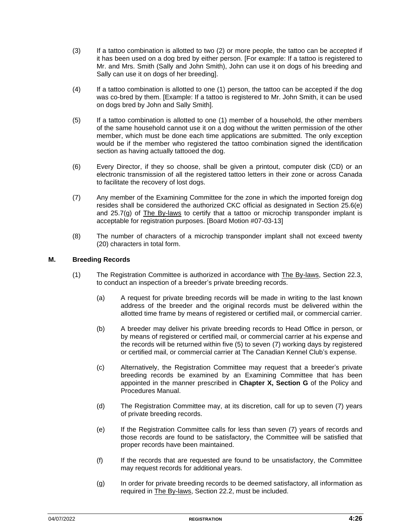- (3) If a tattoo combination is allotted to two (2) or more people, the tattoo can be accepted if it has been used on a dog bred by either person. [For example: If a tattoo is registered to Mr. and Mrs. Smith (Sally and John Smith), John can use it on dogs of his breeding and Sally can use it on dogs of her breeding].
- (4) If a tattoo combination is allotted to one (1) person, the tattoo can be accepted if the dog was co-bred by them. [Example: If a tattoo is registered to Mr. John Smith, it can be used on dogs bred by John and Sally Smith].
- (5) If a tattoo combination is allotted to one (1) member of a household, the other members of the same household cannot use it on a dog without the written permission of the other member, which must be done each time applications are submitted. The only exception would be if the member who registered the tattoo combination signed the identification section as having actually tattooed the dog.
- (6) Every Director, if they so choose, shall be given a printout, computer disk (CD) or an electronic transmission of all the registered tattoo letters in their zone or across Canada to facilitate the recovery of lost dogs.
- (7) Any member of the Examining Committee for the zone in which the imported foreign dog resides shall be considered the authorized CKC official as designated in Section 25.6(e) and  $25.7(g)$  of The By-laws to certify that a tattoo or microchip transponder implant is acceptable for registration purposes. [Board Motion #07-03-13]
- (8) The number of characters of a microchip transponder implant shall not exceed twenty (20) characters in total form.

#### **M. Breeding Records**

- (1) The Registration Committee is authorized in accordance with The By-laws, Section 22.3, to conduct an inspection of a breeder's private breeding records.
	- (a) A request for private breeding records will be made in writing to the last known address of the breeder and the original records must be delivered within the allotted time frame by means of registered or certified mail, or commercial carrier.
	- (b) A breeder may deliver his private breeding records to Head Office in person, or by means of registered or certified mail, or commercial carrier at his expense and the records will be returned within five (5) to seven (7) working days by registered or certified mail, or commercial carrier at The Canadian Kennel Club's expense.
	- (c) Alternatively, the Registration Committee may request that a breeder's private breeding records be examined by an Examining Committee that has been appointed in the manner prescribed in **Chapter X, Section G** of the Policy and Procedures Manual.
	- (d) The Registration Committee may, at its discretion, call for up to seven (7) years of private breeding records.
	- (e) If the Registration Committee calls for less than seven (7) years of records and those records are found to be satisfactory, the Committee will be satisfied that proper records have been maintained.
	- (f) If the records that are requested are found to be unsatisfactory, the Committee may request records for additional years.
	- (g) In order for private breeding records to be deemed satisfactory, all information as required in The By-laws, Section 22.2, must be included.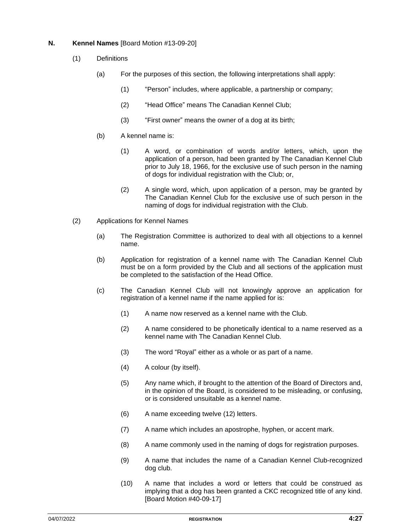#### **N. Kennel Names** [Board Motion #13-09-20]

- (1) Definitions
	- (a) For the purposes of this section, the following interpretations shall apply:
		- (1) "Person" includes, where applicable, a partnership or company;
		- (2) "Head Office" means The Canadian Kennel Club;
		- (3) "First owner" means the owner of a dog at its birth;
	- (b) A kennel name is:
		- (1) A word, or combination of words and/or letters, which, upon the application of a person, had been granted by The Canadian Kennel Club prior to July 18, 1966, for the exclusive use of such person in the naming of dogs for individual registration with the Club; or,
		- (2) A single word, which, upon application of a person, may be granted by The Canadian Kennel Club for the exclusive use of such person in the naming of dogs for individual registration with the Club.
- (2) Applications for Kennel Names
	- (a) The Registration Committee is authorized to deal with all objections to a kennel name.
	- (b) Application for registration of a kennel name with The Canadian Kennel Club must be on a form provided by the Club and all sections of the application must be completed to the satisfaction of the Head Office.
	- (c) The Canadian Kennel Club will not knowingly approve an application for registration of a kennel name if the name applied for is:
		- (1) A name now reserved as a kennel name with the Club.
		- (2) A name considered to be phonetically identical to a name reserved as a kennel name with The Canadian Kennel Club.
		- (3) The word "Royal" either as a whole or as part of a name.
		- (4) A colour (by itself).
		- (5) Any name which, if brought to the attention of the Board of Directors and, in the opinion of the Board, is considered to be misleading, or confusing, or is considered unsuitable as a kennel name.
		- (6) A name exceeding twelve (12) letters.
		- (7) A name which includes an apostrophe, hyphen, or accent mark.
		- (8) A name commonly used in the naming of dogs for registration purposes.
		- (9) A name that includes the name of a Canadian Kennel Club-recognized dog club.
		- (10) A name that includes a word or letters that could be construed as implying that a dog has been granted a CKC recognized title of any kind. [Board Motion #40-09-17]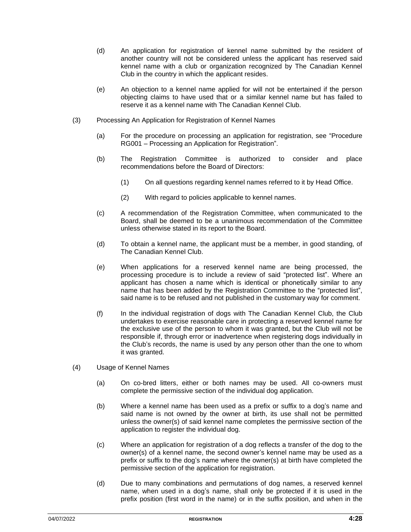- (d) An application for registration of kennel name submitted by the resident of another country will not be considered unless the applicant has reserved said kennel name with a club or organization recognized by The Canadian Kennel Club in the country in which the applicant resides.
- (e) An objection to a kennel name applied for will not be entertained if the person objecting claims to have used that or a similar kennel name but has failed to reserve it as a kennel name with The Canadian Kennel Club.
- (3) Processing An Application for Registration of Kennel Names
	- (a) For the procedure on processing an application for registration, see "Procedure RG001 – Processing an Application for Registration".
	- (b) The Registration Committee is authorized to consider and place recommendations before the Board of Directors:
		- (1) On all questions regarding kennel names referred to it by Head Office.
		- (2) With regard to policies applicable to kennel names.
	- (c) A recommendation of the Registration Committee, when communicated to the Board, shall be deemed to be a unanimous recommendation of the Committee unless otherwise stated in its report to the Board.
	- (d) To obtain a kennel name, the applicant must be a member, in good standing, of The Canadian Kennel Club.
	- (e) When applications for a reserved kennel name are being processed, the processing procedure is to include a review of said "protected list". Where an applicant has chosen a name which is identical or phonetically similar to any name that has been added by the Registration Committee to the "protected list", said name is to be refused and not published in the customary way for comment.
	- (f) In the individual registration of dogs with The Canadian Kennel Club, the Club undertakes to exercise reasonable care in protecting a reserved kennel name for the exclusive use of the person to whom it was granted, but the Club will not be responsible if, through error or inadvertence when registering dogs individually in the Club's records, the name is used by any person other than the one to whom it was granted.
- (4) Usage of Kennel Names
	- (a) On co-bred litters, either or both names may be used. All co-owners must complete the permissive section of the individual dog application.
	- (b) Where a kennel name has been used as a prefix or suffix to a dog's name and said name is not owned by the owner at birth, its use shall not be permitted unless the owner(s) of said kennel name completes the permissive section of the application to register the individual dog.
	- (c) Where an application for registration of a dog reflects a transfer of the dog to the owner(s) of a kennel name, the second owner's kennel name may be used as a prefix or suffix to the dog's name where the owner(s) at birth have completed the permissive section of the application for registration.
	- (d) Due to many combinations and permutations of dog names, a reserved kennel name, when used in a dog's name, shall only be protected if it is used in the prefix position (first word in the name) or in the suffix position, and when in the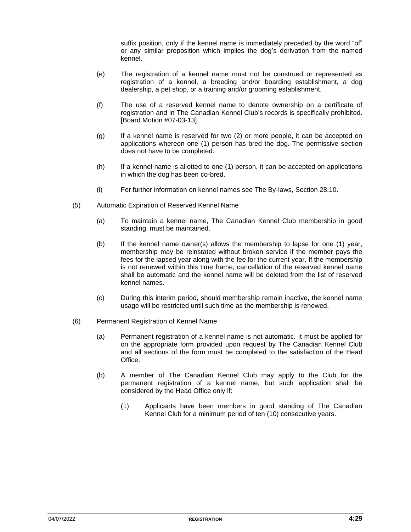suffix position, only if the kennel name is immediately preceded by the word "of" or any similar preposition which implies the dog's derivation from the named kennel.

- (e) The registration of a kennel name must not be construed or represented as registration of a kennel, a breeding and/or boarding establishment, a dog dealership, a pet shop, or a training and/or grooming establishment.
- (f) The use of a reserved kennel name to denote ownership on a certificate of registration and in The Canadian Kennel Club's records is specifically prohibited. [Board Motion #07-03-13]
- (g) If a kennel name is reserved for two (2) or more people, it can be accepted on applications whereon one (1) person has bred the dog. The permissive section does not have to be completed.
- (h) If a kennel name is allotted to one (1) person, it can be accepted on applications in which the dog has been co-bred.
- (i) For further information on kennel names see The By-laws, Section 28.10.
- (5) Automatic Expiration of Reserved Kennel Name
	- (a) To maintain a kennel name, The Canadian Kennel Club membership in good standing, must be maintained.
	- (b) If the kennel name owner(s) allows the membership to lapse for one (1) year, membership may be reinstated without broken service if the member pays the fees for the lapsed year along with the fee for the current year. If the membership is not renewed within this time frame, cancellation of the reserved kennel name shall be automatic and the kennel name will be deleted from the list of reserved kennel names.
	- (c) During this interim period, should membership remain inactive, the kennel name usage will be restricted until such time as the membership is renewed.
- (6) Permanent Registration of Kennel Name
	- (a) Permanent registration of a kennel name is not automatic. It must be applied for on the appropriate form provided upon request by The Canadian Kennel Club and all sections of the form must be completed to the satisfaction of the Head Office.
	- (b) A member of The Canadian Kennel Club may apply to the Club for the permanent registration of a kennel name, but such application shall be considered by the Head Office only if:
		- (1) Applicants have been members in good standing of The Canadian Kennel Club for a minimum period of ten (10) consecutive years.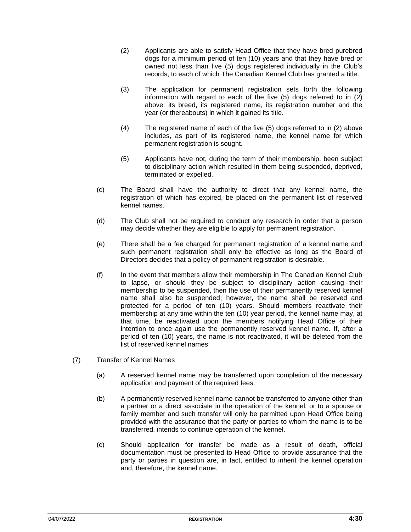- (2) Applicants are able to satisfy Head Office that they have bred purebred dogs for a minimum period of ten (10) years and that they have bred or owned not less than five (5) dogs registered individually in the Club's records, to each of which The Canadian Kennel Club has granted a title.
- (3) The application for permanent registration sets forth the following information with regard to each of the five (5) dogs referred to in (2) above: its breed, its registered name, its registration number and the year (or thereabouts) in which it gained its title.
- (4) The registered name of each of the five (5) dogs referred to in (2) above includes, as part of its registered name, the kennel name for which permanent registration is sought.
- (5) Applicants have not, during the term of their membership, been subject to disciplinary action which resulted in them being suspended, deprived, terminated or expelled.
- (c) The Board shall have the authority to direct that any kennel name, the registration of which has expired, be placed on the permanent list of reserved kennel names.
- (d) The Club shall not be required to conduct any research in order that a person may decide whether they are eligible to apply for permanent registration.
- (e) There shall be a fee charged for permanent registration of a kennel name and such permanent registration shall only be effective as long as the Board of Directors decides that a policy of permanent registration is desirable.
- (f) In the event that members allow their membership in The Canadian Kennel Club to lapse, or should they be subject to disciplinary action causing their membership to be suspended, then the use of their permanently reserved kennel name shall also be suspended; however, the name shall be reserved and protected for a period of ten (10) years. Should members reactivate their membership at any time within the ten (10) year period, the kennel name may, at that time, be reactivated upon the members notifying Head Office of their intention to once again use the permanently reserved kennel name. If, after a period of ten (10) years, the name is not reactivated, it will be deleted from the list of reserved kennel names.
- (7) Transfer of Kennel Names
	- (a) A reserved kennel name may be transferred upon completion of the necessary application and payment of the required fees.
	- (b) A permanently reserved kennel name cannot be transferred to anyone other than a partner or a direct associate in the operation of the kennel, or to a spouse or family member and such transfer will only be permitted upon Head Office being provided with the assurance that the party or parties to whom the name is to be transferred, intends to continue operation of the kennel.
	- (c) Should application for transfer be made as a result of death, official documentation must be presented to Head Office to provide assurance that the party or parties in question are, in fact, entitled to inherit the kennel operation and, therefore, the kennel name.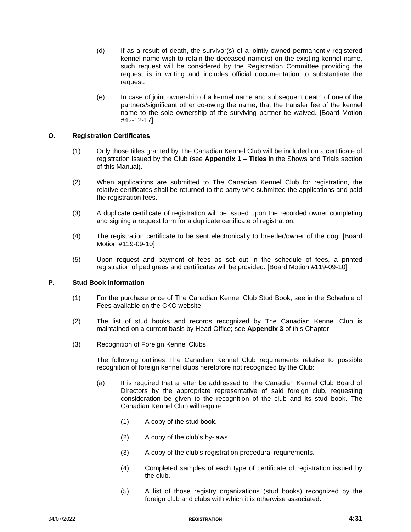- (d) If as a result of death, the survivor(s) of a jointly owned permanently registered kennel name wish to retain the deceased name(s) on the existing kennel name, such request will be considered by the Registration Committee providing the request is in writing and includes official documentation to substantiate the request.
- (e) In case of joint ownership of a kennel name and subsequent death of one of the partners/significant other co-owing the name, that the transfer fee of the kennel name to the sole ownership of the surviving partner be waived. [Board Motion #42-12-17]

#### **O. Registration Certificates**

- (1) Only those titles granted by The Canadian Kennel Club will be included on a certificate of registration issued by the Club (see **Appendix 1 – Titles** in the Shows and Trials section of this Manual).
- (2) When applications are submitted to The Canadian Kennel Club for registration, the relative certificates shall be returned to the party who submitted the applications and paid the registration fees.
- (3) A duplicate certificate of registration will be issued upon the recorded owner completing and signing a request form for a duplicate certificate of registration.
- (4) The registration certificate to be sent electronically to breeder/owner of the dog. [Board Motion #119-09-10]
- (5) Upon request and payment of fees as set out in the schedule of fees, a printed registration of pedigrees and certificates will be provided. [Board Motion #119-09-10]

#### **P. Stud Book Information**

- (1) For the purchase price of The Canadian Kennel Club Stud Book, see in the Schedule of Fees available on the CKC website.
- (2) The list of stud books and records recognized by The Canadian Kennel Club is maintained on a current basis by Head Office; see **Appendix 3** of this Chapter.
- (3) Recognition of Foreign Kennel Clubs

The following outlines The Canadian Kennel Club requirements relative to possible recognition of foreign kennel clubs heretofore not recognized by the Club:

- (a) It is required that a letter be addressed to The Canadian Kennel Club Board of Directors by the appropriate representative of said foreign club, requesting consideration be given to the recognition of the club and its stud book. The Canadian Kennel Club will require:
	- (1) A copy of the stud book.
	- (2) A copy of the club's by-laws.
	- (3) A copy of the club's registration procedural requirements.
	- (4) Completed samples of each type of certificate of registration issued by the club.
	- (5) A list of those registry organizations (stud books) recognized by the foreign club and clubs with which it is otherwise associated.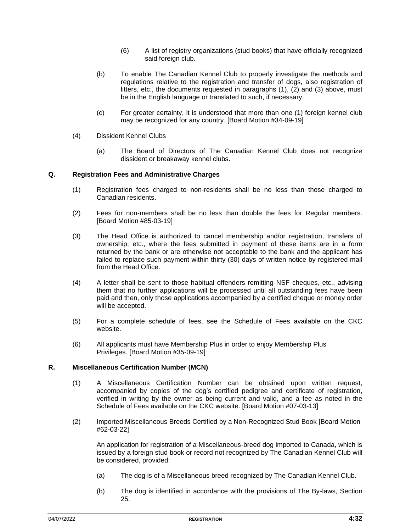- (6) A list of registry organizations (stud books) that have officially recognized said foreign club.
- (b) To enable The Canadian Kennel Club to properly investigate the methods and regulations relative to the registration and transfer of dogs, also registration of litters, etc., the documents requested in paragraphs (1), (2) and (3) above, must be in the English language or translated to such, if necessary.
- (c) For greater certainty, it is understood that more than one (1) foreign kennel club may be recognized for any country. [Board Motion #34-09-19]
- (4) Dissident Kennel Clubs
	- (a) The Board of Directors of The Canadian Kennel Club does not recognize dissident or breakaway kennel clubs.

#### **Q. Registration Fees and Administrative Charges**

- (1) Registration fees charged to non-residents shall be no less than those charged to Canadian residents.
- (2) Fees for non-members shall be no less than double the fees for Regular members. [Board Motion #85-03-19]
- (3) The Head Office is authorized to cancel membership and/or registration, transfers of ownership, etc., where the fees submitted in payment of these items are in a form returned by the bank or are otherwise not acceptable to the bank and the applicant has failed to replace such payment within thirty (30) days of written notice by registered mail from the Head Office.
- (4) A letter shall be sent to those habitual offenders remitting NSF cheques, etc., advising them that no further applications will be processed until all outstanding fees have been paid and then, only those applications accompanied by a certified cheque or money order will be accepted.
- (5) For a complete schedule of fees, see the Schedule of Fees available on the CKC website.
- (6) All applicants must have Membership Plus in order to enjoy Membership Plus Privileges. [Board Motion #35-09-19]

#### **R. Miscellaneous Certification Number (MCN)**

- (1) A Miscellaneous Certification Number can be obtained upon written request, accompanied by copies of the dog's certified pedigree and certificate of registration, verified in writing by the owner as being current and valid, and a fee as noted in the Schedule of Fees available on the CKC website. [Board Motion #07-03-13]
- (2) Imported Miscellaneous Breeds Certified by a Non-Recognized Stud Book [Board Motion #62-03-22]

An application for registration of a Miscellaneous-breed dog imported to Canada, which is issued by a foreign stud book or record not recognized by The Canadian Kennel Club will be considered, provided:

- (a) The dog is of a Miscellaneous breed recognized by The Canadian Kennel Club.
- (b) The dog is identified in accordance with the provisions of The By-laws, Section 25.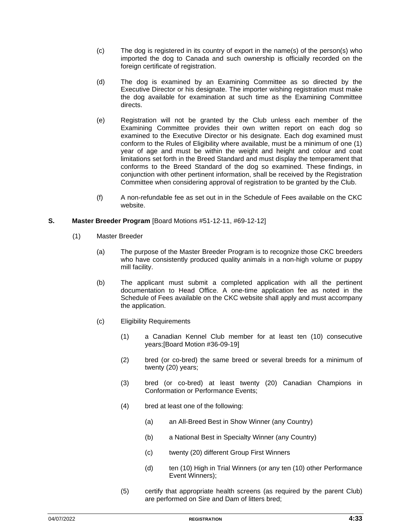- (c) The dog is registered in its country of export in the name(s) of the person(s) who imported the dog to Canada and such ownership is officially recorded on the foreign certificate of registration.
- (d) The dog is examined by an Examining Committee as so directed by the Executive Director or his designate. The importer wishing registration must make the dog available for examination at such time as the Examining Committee directs.
- (e) Registration will not be granted by the Club unless each member of the Examining Committee provides their own written report on each dog so examined to the Executive Director or his designate. Each dog examined must conform to the Rules of Eligibility where available, must be a minimum of one (1) year of age and must be within the weight and height and colour and coat limitations set forth in the Breed Standard and must display the temperament that conforms to the Breed Standard of the dog so examined. These findings, in conjunction with other pertinent information, shall be received by the Registration Committee when considering approval of registration to be granted by the Club.
- (f) A non-refundable fee as set out in in the Schedule of Fees available on the CKC website.

#### **S. Master Breeder Program** [Board Motions #51-12-11, #69-12-12]

- (1) Master Breeder
	- (a) The purpose of the Master Breeder Program is to recognize those CKC breeders who have consistently produced quality animals in a non-high volume or puppy mill facility.
	- (b) The applicant must submit a completed application with all the pertinent documentation to Head Office. A one-time application fee as noted in the Schedule of Fees available on the CKC website shall apply and must accompany the application.
	- (c) Eligibility Requirements
		- (1) a Canadian Kennel Club member for at least ten (10) consecutive years;[Board Motion #36-09-19]
		- (2) bred (or co-bred) the same breed or several breeds for a minimum of twenty (20) years;
		- (3) bred (or co-bred) at least twenty (20) Canadian Champions in Conformation or Performance Events;
		- (4) bred at least one of the following:
			- (a) an All-Breed Best in Show Winner (any Country)
			- (b) a National Best in Specialty Winner (any Country)
			- (c) twenty (20) different Group First Winners
			- (d) ten (10) High in Trial Winners (or any ten (10) other Performance Event Winners);
		- (5) certify that appropriate health screens (as required by the parent Club) are performed on Sire and Dam of litters bred;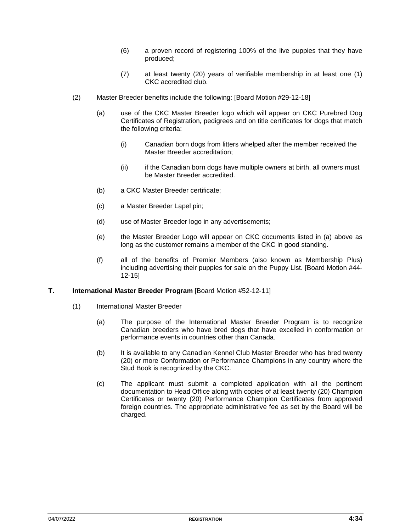- (6) a proven record of registering 100% of the live puppies that they have produced;
- (7) at least twenty (20) years of verifiable membership in at least one (1) CKC accredited club.
- (2) Master Breeder benefits include the following: [Board Motion #29-12-18]
	- (a) use of the CKC Master Breeder logo which will appear on CKC Purebred Dog Certificates of Registration, pedigrees and on title certificates for dogs that match the following criteria:
		- (i) Canadian born dogs from litters whelped after the member received the Master Breeder accreditation;
		- (ii) if the Canadian born dogs have multiple owners at birth, all owners must be Master Breeder accredited.
	- (b) a CKC Master Breeder certificate;
	- (c) a Master Breeder Lapel pin;
	- (d) use of Master Breeder logo in any advertisements;
	- (e) the Master Breeder Logo will appear on CKC documents listed in (a) above as long as the customer remains a member of the CKC in good standing.
	- (f) all of the benefits of Premier Members (also known as Membership Plus) including advertising their puppies for sale on the Puppy List. [Board Motion #44- 12-15]

#### **T. International Master Breeder Program** [Board Motion #52-12-11]

- (1) International Master Breeder
	- (a) The purpose of the International Master Breeder Program is to recognize Canadian breeders who have bred dogs that have excelled in conformation or performance events in countries other than Canada.
	- (b) It is available to any Canadian Kennel Club Master Breeder who has bred twenty (20) or more Conformation or Performance Champions in any country where the Stud Book is recognized by the CKC.
	- (c) The applicant must submit a completed application with all the pertinent documentation to Head Office along with copies of at least twenty (20) Champion Certificates or twenty (20) Performance Champion Certificates from approved foreign countries. The appropriate administrative fee as set by the Board will be charged.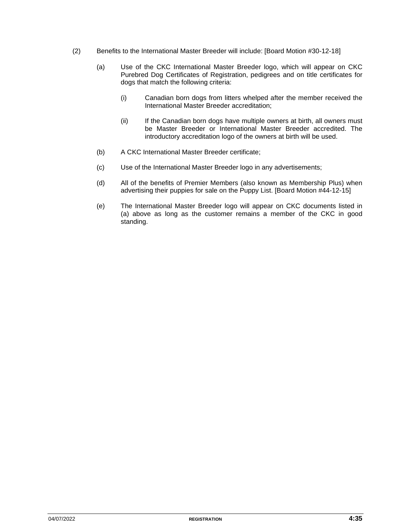- (2) Benefits to the International Master Breeder will include: [Board Motion #30-12-18]
	- (a) Use of the CKC International Master Breeder logo, which will appear on CKC Purebred Dog Certificates of Registration, pedigrees and on title certificates for dogs that match the following criteria:
		- (i) Canadian born dogs from litters whelped after the member received the International Master Breeder accreditation;
		- (ii) If the Canadian born dogs have multiple owners at birth, all owners must be Master Breeder or International Master Breeder accredited. The introductory accreditation logo of the owners at birth will be used.
	- (b) A CKC International Master Breeder certificate;
	- (c) Use of the International Master Breeder logo in any advertisements;
	- (d) All of the benefits of Premier Members (also known as Membership Plus) when advertising their puppies for sale on the Puppy List. [Board Motion #44-12-15]
	- (e) The International Master Breeder logo will appear on CKC documents listed in (a) above as long as the customer remains a member of the CKC in good standing.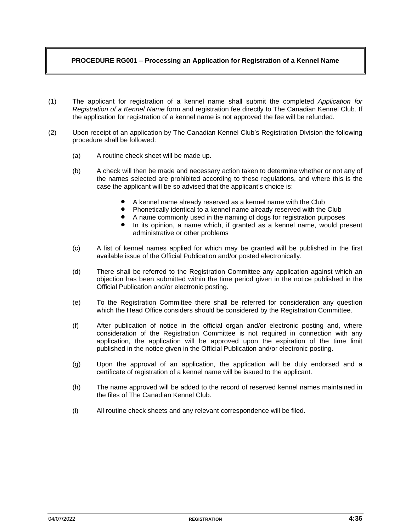#### **PROCEDURE RG001 – Processing an Application for Registration of a Kennel Name**

- (1) The applicant for registration of a kennel name shall submit the completed *Application for Registration of a Kennel Name* form and registration fee directly to The Canadian Kennel Club. If the application for registration of a kennel name is not approved the fee will be refunded.
- (2) Upon receipt of an application by The Canadian Kennel Club's Registration Division the following procedure shall be followed:
	- (a) A routine check sheet will be made up.
	- (b) A check will then be made and necessary action taken to determine whether or not any of the names selected are prohibited according to these regulations, and where this is the case the applicant will be so advised that the applicant's choice is:
		- A kennel name already reserved as a kennel name with the Club
		- Phonetically identical to a kennel name already reserved with the Club
		- A name commonly used in the naming of dogs for registration purposes
		- In its opinion, a name which, if granted as a kennel name, would present administrative or other problems
	- (c) A list of kennel names applied for which may be granted will be published in the first available issue of the Official Publication and/or posted electronically.
	- (d) There shall be referred to the Registration Committee any application against which an objection has been submitted within the time period given in the notice published in the Official Publication and/or electronic posting.
	- (e) To the Registration Committee there shall be referred for consideration any question which the Head Office considers should be considered by the Registration Committee.
	- (f) After publication of notice in the official organ and/or electronic posting and, where consideration of the Registration Committee is not required in connection with any application, the application will be approved upon the expiration of the time limit published in the notice given in the Official Publication and/or electronic posting.
	- (g) Upon the approval of an application, the application will be duly endorsed and a certificate of registration of a kennel name will be issued to the applicant.
	- (h) The name approved will be added to the record of reserved kennel names maintained in the files of The Canadian Kennel Club.
	- (i) All routine check sheets and any relevant correspondence will be filed.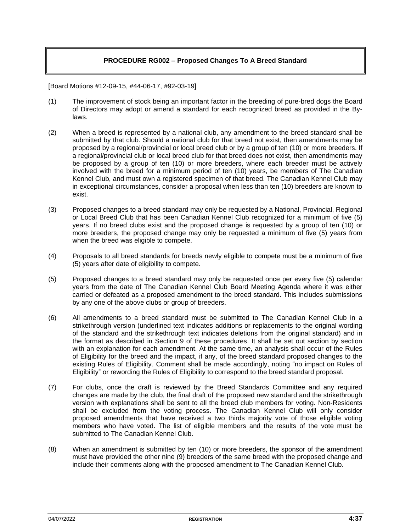#### **PROCEDURE RG002 – Proposed Changes To A Breed Standard**

[Board Motions #12-09-15, #44-06-17, #92-03-19]

- (1) The improvement of stock being an important factor in the breeding of pure-bred dogs the Board of Directors may adopt or amend a standard for each recognized breed as provided in the Bylaws.
- (2) When a breed is represented by a national club, any amendment to the breed standard shall be submitted by that club. Should a national club for that breed not exist, then amendments may be proposed by a regional/provincial or local breed club or by a group of ten (10) or more breeders. If a regional/provincial club or local breed club for that breed does not exist, then amendments may be proposed by a group of ten (10) or more breeders, where each breeder must be actively involved with the breed for a minimum period of ten (10) years, be members of The Canadian Kennel Club, and must own a registered specimen of that breed. The Canadian Kennel Club may in exceptional circumstances, consider a proposal when less than ten (10) breeders are known to exist.
- (3) Proposed changes to a breed standard may only be requested by a National, Provincial, Regional or Local Breed Club that has been Canadian Kennel Club recognized for a minimum of five (5) years. If no breed clubs exist and the proposed change is requested by a group of ten (10) or more breeders, the proposed change may only be requested a minimum of five (5) years from when the breed was eligible to compete.
- (4) Proposals to all breed standards for breeds newly eligible to compete must be a minimum of five (5) years after date of eligibility to compete.
- (5) Proposed changes to a breed standard may only be requested once per every five (5) calendar years from the date of The Canadian Kennel Club Board Meeting Agenda where it was either carried or defeated as a proposed amendment to the breed standard. This includes submissions by any one of the above clubs or group of breeders.
- (6) All amendments to a breed standard must be submitted to The Canadian Kennel Club in a strikethrough version (underlined text indicates additions or replacements to the original wording of the standard and the strikethrough text indicates deletions from the original standard) and in the format as described in Section 9 of these procedures. It shall be set out section by section with an explanation for each amendment. At the same time, an analysis shall occur of the Rules of Eligibility for the breed and the impact, if any, of the breed standard proposed changes to the existing Rules of Eligibility. Comment shall be made accordingly, noting "no impact on Rules of Eligibility" or rewording the Rules of Eligibility to correspond to the breed standard proposal.
- (7) For clubs, once the draft is reviewed by the Breed Standards Committee and any required changes are made by the club, the final draft of the proposed new standard and the strikethrough version with explanations shall be sent to all the breed club members for voting. Non-Residents shall be excluded from the voting process. The Canadian Kennel Club will only consider proposed amendments that have received a two thirds majority vote of those eligible voting members who have voted. The list of eligible members and the results of the vote must be submitted to The Canadian Kennel Club.
- (8) When an amendment is submitted by ten (10) or more breeders, the sponsor of the amendment must have provided the other nine (9) breeders of the same breed with the proposed change and include their comments along with the proposed amendment to The Canadian Kennel Club.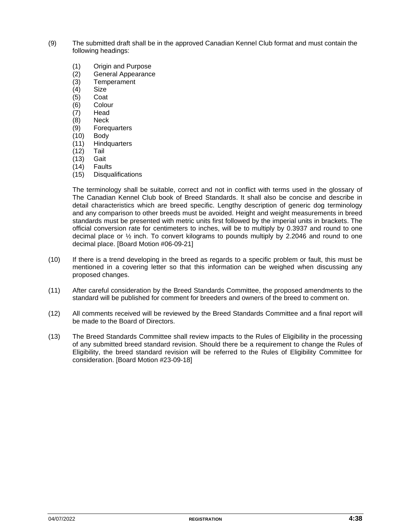- (9) The submitted draft shall be in the approved Canadian Kennel Club format and must contain the following headings:
	- (1) Origin and Purpose
	- (2) General Appearance
	- (3) Temperament
	- (4) Size
	- $(5)$  Coat
	- (6) Colour
	- (7) Head
	- (8) Neck
	- (9) Forequarters
	- (10) Body
	- (11) Hindquarters
	- (12) Tail
	- (13) Gait
	- (14) Faults
	- (15) Disqualifications

The terminology shall be suitable, correct and not in conflict with terms used in the glossary of The Canadian Kennel Club book of Breed Standards. It shall also be concise and describe in detail characteristics which are breed specific. Lengthy description of generic dog terminology and any comparison to other breeds must be avoided. Height and weight measurements in breed standards must be presented with metric units first followed by the imperial units in brackets. The official conversion rate for centimeters to inches, will be to multiply by 0.3937 and round to one decimal place or ½ inch. To convert kilograms to pounds multiply by 2.2046 and round to one decimal place. [Board Motion #06-09-21]

- (10) If there is a trend developing in the breed as regards to a specific problem or fault, this must be mentioned in a covering letter so that this information can be weighed when discussing any proposed changes.
- (11) After careful consideration by the Breed Standards Committee, the proposed amendments to the standard will be published for comment for breeders and owners of the breed to comment on.
- (12) All comments received will be reviewed by the Breed Standards Committee and a final report will be made to the Board of Directors.
- (13) The Breed Standards Committee shall review impacts to the Rules of Eligibility in the processing of any submitted breed standard revision. Should there be a requirement to change the Rules of Eligibility, the breed standard revision will be referred to the Rules of Eligibility Committee for consideration. [Board Motion #23-09-18]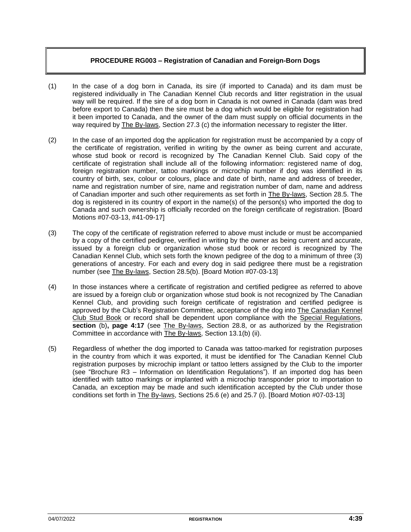#### **PROCEDURE RG003 – Registration of Canadian and Foreign-Born Dogs**

- (1) In the case of a dog born in Canada, its sire (if imported to Canada) and its dam must be registered individually in The Canadian Kennel Club records and litter registration in the usual way will be required. If the sire of a dog born in Canada is not owned in Canada (dam was bred before export to Canada) then the sire must be a dog which would be eligible for registration had it been imported to Canada, and the owner of the dam must supply on official documents in the way required by The By-laws, Section 27.3 (c) the information necessary to register the litter.
- (2) In the case of an imported dog the application for registration must be accompanied by a copy of the certificate of registration, verified in writing by the owner as being current and accurate, whose stud book or record is recognized by The Canadian Kennel Club. Said copy of the certificate of registration shall include all of the following information: registered name of dog, foreign registration number, tattoo markings or microchip number if dog was identified in its country of birth, sex, colour or colours, place and date of birth, name and address of breeder, name and registration number of sire, name and registration number of dam, name and address of Canadian importer and such other requirements as set forth in The By-laws, Section 28.5. The dog is registered in its country of export in the name(s) of the person(s) who imported the dog to Canada and such ownership is officially recorded on the foreign certificate of registration. [Board Motions #07-03-13, #41-09-17]
- (3) The copy of the certificate of registration referred to above must include or must be accompanied by a copy of the certified pedigree, verified in writing by the owner as being current and accurate, issued by a foreign club or organization whose stud book or record is recognized by The Canadian Kennel Club, which sets forth the known pedigree of the dog to a minimum of three (3) generations of ancestry. For each and every dog in said pedigree there must be a registration number (see The By-laws, Section 28.5(b). [Board Motion #07-03-13]
- (4) In those instances where a certificate of registration and certified pedigree as referred to above are issued by a foreign club or organization whose stud book is not recognized by The Canadian Kennel Club, and providing such foreign certificate of registration and certified pedigree is approved by the Club's Registration Committee, acceptance of the dog into The Canadian Kennel Club Stud Book or record shall be dependent upon compliance with the Special Regulations, **section** (b)**, page 4:17** (see The By-laws, Section 28.8, or as authorized by the Registration Committee in accordance with The By-laws, Section 13.1(b) (ii).
- (5) Regardless of whether the dog imported to Canada was tattoo-marked for registration purposes in the country from which it was exported, it must be identified for The Canadian Kennel Club registration purposes by microchip implant or tattoo letters assigned by the Club to the importer (see "Brochure R3 – Information on Identification Regulations"). If an imported dog has been identified with tattoo markings or implanted with a microchip transponder prior to importation to Canada, an exception may be made and such identification accepted by the Club under those conditions set forth in The By-laws, Sections 25.6 (e) and 25.7 (i). [Board Motion #07-03-13]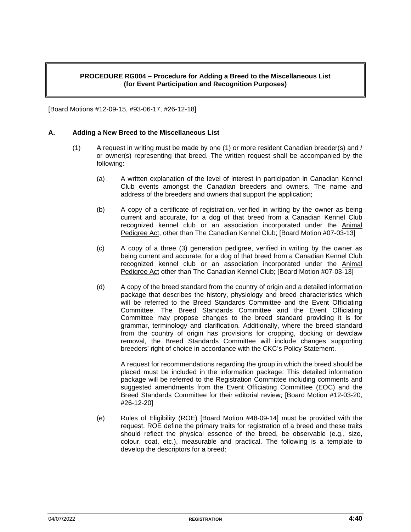#### **PROCEDURE RG004 – Procedure for Adding a Breed to the Miscellaneous List (for Event Participation and Recognition Purposes)**

[Board Motions #12-09-15, #93-06-17, #26-12-18]

#### **A. Adding a New Breed to the Miscellaneous List**

- (1) A request in writing must be made by one (1) or more resident Canadian breeder(s) and / or owner(s) representing that breed. The written request shall be accompanied by the following:
	- (a) A written explanation of the level of interest in participation in Canadian Kennel Club events amongst the Canadian breeders and owners. The name and address of the breeders and owners that support the application;
	- (b) A copy of a certificate of registration, verified in writing by the owner as being current and accurate, for a dog of that breed from a Canadian Kennel Club recognized kennel club or an association incorporated under the Animal Pedigree Act, other than The Canadian Kennel Club; [Board Motion #07-03-13]
	- (c) A copy of a three (3) generation pedigree, verified in writing by the owner as being current and accurate, for a dog of that breed from a Canadian Kennel Club recognized kennel club or an association incorporated under the Animal Pedigree Act other than The Canadian Kennel Club; [Board Motion #07-03-13]
	- (d) A copy of the breed standard from the country of origin and a detailed information package that describes the history, physiology and breed characteristics which will be referred to the Breed Standards Committee and the Event Officiating Committee. The Breed Standards Committee and the Event Officiating Committee may propose changes to the breed standard providing it is for grammar, terminology and clarification. Additionally, where the breed standard from the country of origin has provisions for cropping, docking or dewclaw removal, the Breed Standards Committee will include changes supporting breeders' right of choice in accordance with the CKC's Policy Statement.

A request for recommendations regarding the group in which the breed should be placed must be included in the information package. This detailed information package will be referred to the Registration Committee including comments and suggested amendments from the Event Officiating Committee (EOC) and the Breed Standards Committee for their editorial review; [Board Motion #12-03-20, #26-12-20]

(e) Rules of Eligibility (ROE) [Board Motion #48-09-14] must be provided with the request. ROE define the primary traits for registration of a breed and these traits should reflect the physical essence of the breed, be observable (e.g., size, colour, coat, etc.), measurable and practical. The following is a template to develop the descriptors for a breed: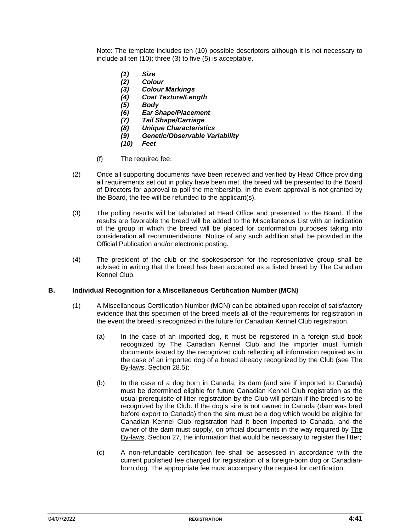Note: The template includes ten (10) possible descriptors although it is not necessary to include all ten (10); three (3) to five (5) is acceptable.

- *(1) Size*
- *(2) Colour*
- *(3) Colour Markings*
- *(4) Coat Texture/Length*
- *(5) Body*
- *(6) Ear Shape/Placement*
- *(7) Tail Shape/Carriage*
- *(8) Unique Characteristics*
- *(9) Genetic/Observable Variability*
- *(10) Feet*
- (f) The required fee.
- (2) Once all supporting documents have been received and verified by Head Office providing all requirements set out in policy have been met, the breed will be presented to the Board of Directors for approval to poll the membership. In the event approval is not granted by the Board, the fee will be refunded to the applicant(s).
- (3) The polling results will be tabulated at Head Office and presented to the Board. If the results are favorable the breed will be added to the Miscellaneous List with an indication of the group in which the breed will be placed for conformation purposes taking into consideration all recommendations. Notice of any such addition shall be provided in the Official Publication and/or electronic posting.
- (4) The president of the club or the spokesperson for the representative group shall be advised in writing that the breed has been accepted as a listed breed by The Canadian Kennel Club.

#### **B. Individual Recognition for a Miscellaneous Certification Number (MCN)**

- (1) A Miscellaneous Certification Number (MCN) can be obtained upon receipt of satisfactory evidence that this specimen of the breed meets all of the requirements for registration in the event the breed is recognized in the future for Canadian Kennel Club registration.
	- (a) In the case of an imported dog, it must be registered in a foreign stud book recognized by The Canadian Kennel Club and the importer must furnish documents issued by the recognized club reflecting all information required as in the case of an imported dog of a breed already recognized by the Club (see The By-laws, Section 28.5);
	- (b) In the case of a dog born in Canada, its dam (and sire if imported to Canada) must be determined eligible for future Canadian Kennel Club registration as the usual prerequisite of litter registration by the Club will pertain if the breed is to be recognized by the Club. If the dog's sire is not owned in Canada (dam was bred before export to Canada) then the sire must be a dog which would be eligible for Canadian Kennel Club registration had it been imported to Canada, and the owner of the dam must supply, on official documents in the way required by The By-laws, Section 27, the information that would be necessary to register the litter;
	- (c) A non-refundable certification fee shall be assessed in accordance with the current published fee charged for registration of a foreign-born dog or Canadianborn dog. The appropriate fee must accompany the request for certification;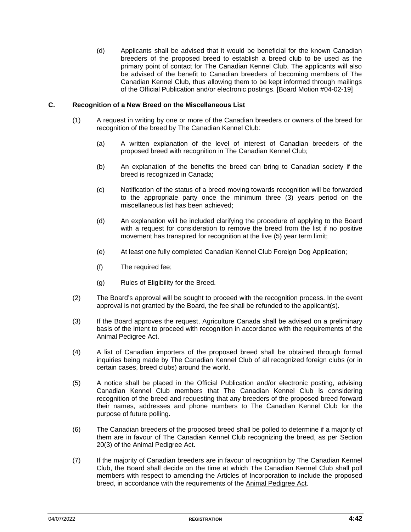(d) Applicants shall be advised that it would be beneficial for the known Canadian breeders of the proposed breed to establish a breed club to be used as the primary point of contact for The Canadian Kennel Club. The applicants will also be advised of the benefit to Canadian breeders of becoming members of The Canadian Kennel Club, thus allowing them to be kept informed through mailings of the Official Publication and/or electronic postings. [Board Motion #04-02-19]

#### **C. Recognition of a New Breed on the Miscellaneous List**

- (1) A request in writing by one or more of the Canadian breeders or owners of the breed for recognition of the breed by The Canadian Kennel Club:
	- (a) A written explanation of the level of interest of Canadian breeders of the proposed breed with recognition in The Canadian Kennel Club;
	- (b) An explanation of the benefits the breed can bring to Canadian society if the breed is recognized in Canada;
	- (c) Notification of the status of a breed moving towards recognition will be forwarded to the appropriate party once the minimum three (3) years period on the miscellaneous list has been achieved;
	- (d) An explanation will be included clarifying the procedure of applying to the Board with a request for consideration to remove the breed from the list if no positive movement has transpired for recognition at the five (5) year term limit;
	- (e) At least one fully completed Canadian Kennel Club Foreign Dog Application;
	- (f) The required fee;
	- (g) Rules of Eligibility for the Breed.
- (2) The Board's approval will be sought to proceed with the recognition process. In the event approval is not granted by the Board, the fee shall be refunded to the applicant(s).
- (3) If the Board approves the request, Agriculture Canada shall be advised on a preliminary basis of the intent to proceed with recognition in accordance with the requirements of the Animal Pedigree Act.
- (4) A list of Canadian importers of the proposed breed shall be obtained through formal inquiries being made by The Canadian Kennel Club of all recognized foreign clubs (or in certain cases, breed clubs) around the world.
- (5) A notice shall be placed in the Official Publication and/or electronic posting, advising Canadian Kennel Club members that The Canadian Kennel Club is considering recognition of the breed and requesting that any breeders of the proposed breed forward their names, addresses and phone numbers to The Canadian Kennel Club for the purpose of future polling.
- (6) The Canadian breeders of the proposed breed shall be polled to determine if a majority of them are in favour of The Canadian Kennel Club recognizing the breed, as per Section 20(3) of the Animal Pedigree Act.
- (7) If the majority of Canadian breeders are in favour of recognition by The Canadian Kennel Club, the Board shall decide on the time at which The Canadian Kennel Club shall poll members with respect to amending the Articles of Incorporation to include the proposed breed, in accordance with the requirements of the Animal Pedigree Act.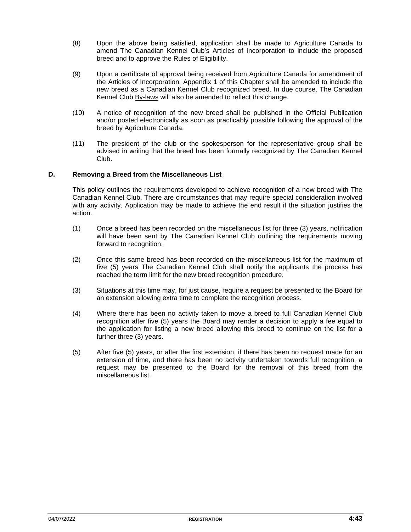- (8) Upon the above being satisfied, application shall be made to Agriculture Canada to amend The Canadian Kennel Club's Articles of Incorporation to include the proposed breed and to approve the Rules of Eligibility.
- (9) Upon a certificate of approval being received from Agriculture Canada for amendment of the Articles of Incorporation, Appendix 1 of this Chapter shall be amended to include the new breed as a Canadian Kennel Club recognized breed. In due course, The Canadian Kennel Club By-laws will also be amended to reflect this change.
- (10) A notice of recognition of the new breed shall be published in the Official Publication and/or posted electronically as soon as practicably possible following the approval of the breed by Agriculture Canada.
- (11) The president of the club or the spokesperson for the representative group shall be advised in writing that the breed has been formally recognized by The Canadian Kennel Club.

#### **D. Removing a Breed from the Miscellaneous List**

This policy outlines the requirements developed to achieve recognition of a new breed with The Canadian Kennel Club. There are circumstances that may require special consideration involved with any activity. Application may be made to achieve the end result if the situation justifies the action.

- (1) Once a breed has been recorded on the miscellaneous list for three (3) years, notification will have been sent by The Canadian Kennel Club outlining the requirements moving forward to recognition.
- (2) Once this same breed has been recorded on the miscellaneous list for the maximum of five (5) years The Canadian Kennel Club shall notify the applicants the process has reached the term limit for the new breed recognition procedure.
- (3) Situations at this time may, for just cause, require a request be presented to the Board for an extension allowing extra time to complete the recognition process.
- (4) Where there has been no activity taken to move a breed to full Canadian Kennel Club recognition after five (5) years the Board may render a decision to apply a fee equal to the application for listing a new breed allowing this breed to continue on the list for a further three (3) years.
- (5) After five (5) years, or after the first extension, if there has been no request made for an extension of time, and there has been no activity undertaken towards full recognition, a request may be presented to the Board for the removal of this breed from the miscellaneous list.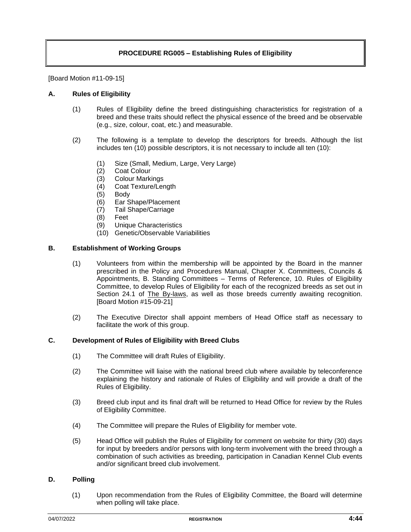#### **PROCEDURE RG005 – Establishing Rules of Eligibility**

[Board Motion #11-09-15]

#### **A. Rules of Eligibility**

- (1) Rules of Eligibility define the breed distinguishing characteristics for registration of a breed and these traits should reflect the physical essence of the breed and be observable (e.g., size, colour, coat, etc.) and measurable.
- (2) The following is a template to develop the descriptors for breeds. Although the list includes ten (10) possible descriptors, it is not necessary to include all ten (10):
	- (1) Size (Small, Medium, Large, Very Large)
	- (2) Coat Colour
	- (3) Colour Markings
	- (4) Coat Texture/Length
	- (5) Body
	- (6) Ear Shape/Placement
	- (7) Tail Shape/Carriage
	- (8) Feet
	- (9) Unique Characteristics
	- (10) Genetic/Observable Variabilities

#### **B. Establishment of Working Groups**

- (1) Volunteers from within the membership will be appointed by the Board in the manner prescribed in the Policy and Procedures Manual, Chapter X. Committees, Councils & Appointments, B. Standing Committees – Terms of Reference, 10. Rules of Eligibility Committee, to develop Rules of Eligibility for each of the recognized breeds as set out in Section 24.1 of The By-laws, as well as those breeds currently awaiting recognition. [Board Motion #15-09-21]
- (2) The Executive Director shall appoint members of Head Office staff as necessary to facilitate the work of this group.

#### **C. Development of Rules of Eligibility with Breed Clubs**

- (1) The Committee will draft Rules of Eligibility.
- (2) The Committee will liaise with the national breed club where available by teleconference explaining the history and rationale of Rules of Eligibility and will provide a draft of the Rules of Eligibility.
- (3) Breed club input and its final draft will be returned to Head Office for review by the Rules of Eligibility Committee.
- (4) The Committee will prepare the Rules of Eligibility for member vote.
- (5) Head Office will publish the Rules of Eligibility for comment on website for thirty (30) days for input by breeders and/or persons with long-term involvement with the breed through a combination of such activities as breeding, participation in Canadian Kennel Club events and/or significant breed club involvement.

#### **D. Polling**

(1) Upon recommendation from the Rules of Eligibility Committee, the Board will determine when polling will take place.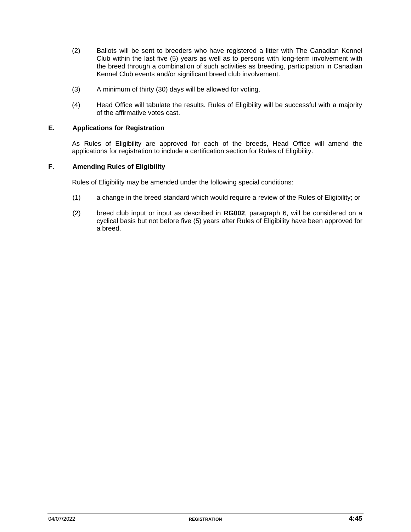- (2) Ballots will be sent to breeders who have registered a litter with The Canadian Kennel Club within the last five (5) years as well as to persons with long-term involvement with the breed through a combination of such activities as breeding, participation in Canadian Kennel Club events and/or significant breed club involvement.
- (3) A minimum of thirty (30) days will be allowed for voting.
- (4) Head Office will tabulate the results. Rules of Eligibility will be successful with a majority of the affirmative votes cast.

#### **E. Applications for Registration**

As Rules of Eligibility are approved for each of the breeds, Head Office will amend the applications for registration to include a certification section for Rules of Eligibility.

#### **F. Amending Rules of Eligibility**

Rules of Eligibility may be amended under the following special conditions:

- (1) a change in the breed standard which would require a review of the Rules of Eligibility; or
- (2) breed club input or input as described in **RG002**, paragraph 6, will be considered on a cyclical basis but not before five (5) years after Rules of Eligibility have been approved for a breed.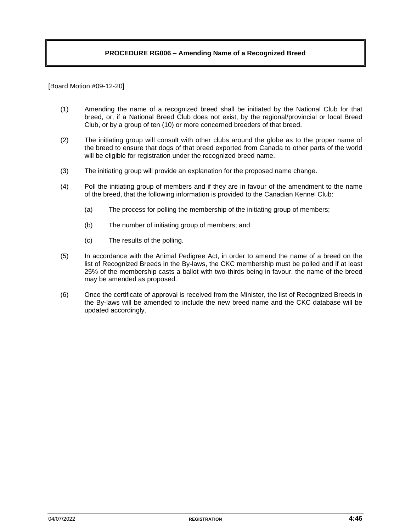#### **PROCEDURE RG006 – Amending Name of a Recognized Breed**

[Board Motion #09-12-20]

- (1) Amending the name of a recognized breed shall be initiated by the National Club for that breed, or, if a National Breed Club does not exist, by the regional/provincial or local Breed Club, or by a group of ten (10) or more concerned breeders of that breed.
- (2) The initiating group will consult with other clubs around the globe as to the proper name of the breed to ensure that dogs of that breed exported from Canada to other parts of the world will be eligible for registration under the recognized breed name.
- (3) The initiating group will provide an explanation for the proposed name change.
- (4) Poll the initiating group of members and if they are in favour of the amendment to the name of the breed, that the following information is provided to the Canadian Kennel Club:
	- (a) The process for polling the membership of the initiating group of members;
	- (b) The number of initiating group of members; and
	- (c) The results of the polling.
- (5) In accordance with the Animal Pedigree Act, in order to amend the name of a breed on the list of Recognized Breeds in the By-laws, the CKC membership must be polled and if at least 25% of the membership casts a ballot with two-thirds being in favour, the name of the breed may be amended as proposed.
- (6) Once the certificate of approval is received from the Minister, the list of Recognized Breeds in the By-laws will be amended to include the new breed name and the CKC database will be updated accordingly.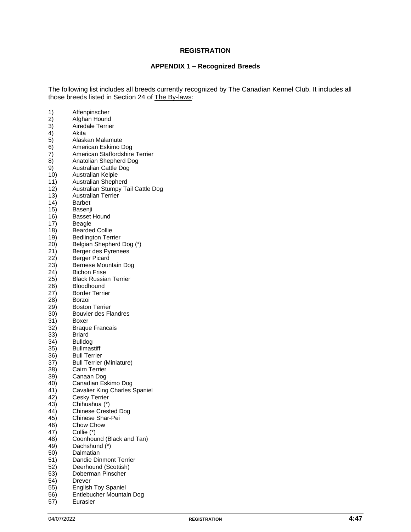#### **REGISTRATION**

#### **APPENDIX 1 – Recognized Breeds**

The following list includes all breeds currently recognized by The Canadian Kennel Club. It includes all those breeds listed in Section 24 of The By-laws:

| 1)  | Affenpinscher                     |
|-----|-----------------------------------|
| 2)  | Afghan Hound                      |
| 3)  | <b>Airedale Terrier</b>           |
| 4)  | Akita                             |
| 5)  | Alaskan Malamute                  |
| 6)  | American Eskimo Dog               |
| 7)  | American Staffordshire Terrier    |
| 8)  | Anatolian Shepherd Dog            |
| 9)  | <b>Australian Cattle Dog</b>      |
| 10) | Australian Kelpie                 |
| 11) | Australian Shepherd               |
| 12) | Australian Stumpy Tail Cattle Dog |
|     | Australian Terrier                |
| 13) |                                   |
| 14) | Barbet                            |
| 15) | Basenji                           |
| 16) | <b>Basset Hound</b>               |
| 17) | Beagle                            |
| 18) | <b>Bearded Collie</b>             |
| 19) | <b>Bedlington Terrier</b>         |
| 20) | Belgian Shepherd Dog (*)          |
| 21) | Berger des Pyrenees               |
| 22) | <b>Berger Picard</b>              |
| 23) | Bernese Mountain Dog              |
| 24) | <b>Bichon Frise</b>               |
| 25) | <b>Black Russian Terrier</b>      |
| 26) | Bloodhound                        |
| 27) | <b>Border Terrier</b>             |
| 28) | Borzoi                            |
| 29) | <b>Boston Terrier</b>             |
| 30) | <b>Bouvier des Flandres</b>       |
| 31) | Boxer                             |
| 32) | <b>Braque Francais</b>            |
| 33) | Briard                            |
| 34) | <b>Bulldog</b>                    |
| 35) | <b>Bullmastiff</b>                |
| 36) | <b>Bull Terrier</b>               |
| 37) | <b>Bull Terrier (Miniature)</b>   |
| 38) | Cairn Terrier                     |
| 39) | Canaan Dog                        |
| 40) | Canadian Eskimo Dog               |
| 41) | Cavalier King Charles Spaniel     |
| 42) | Cesky Terrier                     |
| 43) | Chihuahua (*)                     |
| 44) | <b>Chinese Crested Dog</b>        |
| 45) | Chinese Shar-Pei                  |
| 46) | Chow Chow                         |
| 47) | Collie (*)                        |
| 48) | Coonhound (Black and Tan)         |
| 49) | Dachshund (*)                     |
| 50) | Dalmatian                         |
| 51) | Dandie Dinmont Terrier            |
| 52) | Deerhound (Scottish)              |
| 53) | Doberman Pinscher                 |
| 54) | Drever                            |
| 55) | <b>English Toy Spaniel</b>        |
|     |                                   |

- 56) Entlebucher Mountain Dog
- 57) Eurasier
-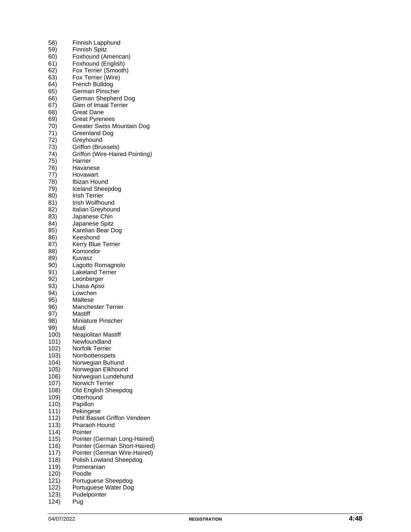| 58)          | Finnish Lapphund                                        |
|--------------|---------------------------------------------------------|
| 59)          | <b>Finnish Spitz</b>                                    |
| 60)          | Foxhound (American)                                     |
| 61)          | Foxhound (English)                                      |
| 62)          | Fox Terrier (Smooth)                                    |
| 63)          | Fox Terrier (Wire)                                      |
| 64)          | French Bulldog                                          |
| 65)          | German Pinscher                                         |
| 66)          | German Shepherd Dog                                     |
| 67)          | Glen of Imaal Terrier                                   |
| 68)          | <b>Great Dane</b>                                       |
| 69)          | <b>Great Pyrenees</b>                                   |
| 70)          | Greater Swiss Mountain Dog                              |
| 71)<br>72)   | <b>Greenland Dog</b>                                    |
| 73)          | Greyhound                                               |
| 74)          | Griffon (Brussels)<br>Griffon (Wire-Haired Pointing)    |
| 75)          | Harrier                                                 |
| 76)          | Havanese                                                |
| 77)          | Hovawart                                                |
| 78)          | Ibizan Hound                                            |
| 79)          | Iceland Sheepdog                                        |
| 80)          | <b>Irish Terrier</b>                                    |
| 81)          | Irish Wolfhound                                         |
| 82)          | Italian Greyhound                                       |
| 83)          | Japanese Chin                                           |
| 84)          | Japanese Spitz                                          |
| 85)          | Karelian Bear Dog                                       |
| 86)          | Keeshond                                                |
| 87)          | Kerry Blue Terrier                                      |
| 88)          | Komondor                                                |
| 89)          | Kuvasz                                                  |
| 90)          | Lagotto Romagnolo                                       |
| 91)          | <b>Lakeland Terrier</b>                                 |
| 92)          | Leonberger                                              |
| 93)          | Lhasa Apso                                              |
| 94)          | Lowchen                                                 |
| 95)          | Maltese                                                 |
| 96)<br>97)   | <b>Manchester Terrier</b><br>Mastiff                    |
| 98)          | <b>Miniature Pinscher</b>                               |
| 99)          | Mudi                                                    |
| 100)         | Neapolitan Mastiff                                      |
| 101)         | Newfoundland                                            |
| 102)         | Norfolk Terrier                                         |
| 103)         | Norrbottenspets                                         |
| 104)         | Norwegian Buhund                                        |
| 105)         | Norwegian Elkhound                                      |
| 106)         | Norwegian Lundehund                                     |
| 107)         | Norwich Terrier                                         |
| 108)         | Old English Sheepdog                                    |
| 109)         | Otterhound                                              |
| 110)         | Papillon                                                |
| 111)         | Pekingese                                               |
| 112)         | Petit Basset Griffon Vendeen                            |
| 113)         | Pharaoh Hound                                           |
| 114)         | Pointer                                                 |
| 115)         | Pointer (German Long-Haired)                            |
| 116)         | Pointer (German Short-Haired)                           |
| 117)<br>118) | Pointer (German Wire-Haired)<br>Polish Lowland Sheepdog |
| 119)         | Pomeranian                                              |
| 120)         | Poodle                                                  |
| 121)         | Portuguese Sheepdog                                     |
| 122)         | Portuguese Water Dog                                    |
| 123)         | Pudelpointer                                            |
|              |                                                         |

 $124$ ) Pug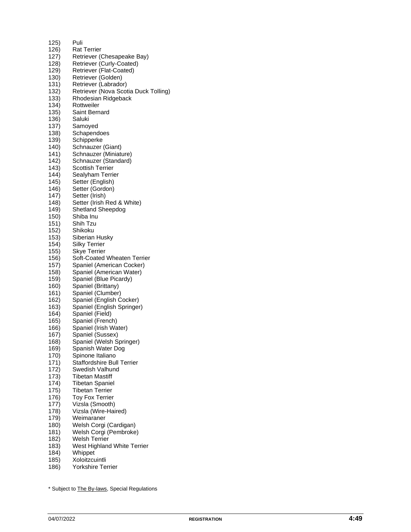| 125) | Puli                                 |
|------|--------------------------------------|
| 126) | <b>Rat Terrier</b>                   |
| 127) | Retriever (Chesapeake Bay)           |
| 128) | Retriever (Curly-Coated)             |
| 129) | Retriever (Flat-Coated)              |
| 130) | Retriever (Golden)                   |
| 131) | Retriever (Labrador)                 |
| 132) | Retriever (Nova Scotia Duck Tolling) |
| 133) | Rhodesian Ridgeback                  |
| 134) | Rottweiler                           |
| 135) | Saint Bernard                        |
| 136) | Saluki                               |
| 137) |                                      |
|      | Samoyed                              |
| 138) | Schapendoes                          |
| 139) | Schipperke                           |
| 140) | Schnauzer (Giant)                    |
| 141) | Schnauzer (Miniature)                |
| 142) | Schnauzer (Standard)                 |
| 143) | <b>Scottish Terrier</b>              |
| 144) | Sealyham Terrier                     |
| 145) | Setter (English)                     |
| 146) | Setter (Gordon)                      |
| 147) | Setter (Irish)                       |
| 148) | Setter (Irish Red & White)           |
| 149) | Shetland Sheepdog                    |
| 150) | Shiba Inu                            |
| 151) | Shih Tzu                             |
| 152) | Shikoku                              |
| 153) | Siberian Husky                       |
| 154) | <b>Silky Terrier</b>                 |
| 155) | <b>Skye Terrier</b>                  |
| 156) | Soft-Coated Wheaten Terrier          |
| 157) | Spaniel (American Cocker)            |
| 158) | Spaniel (American Water)             |
| 159) | Spaniel (Blue Picardy)               |
| 160) | Spaniel (Brittany)                   |
| 161) | Spaniel (Clumber)                    |
| 162) | Spaniel (English Cocker)             |
| 163) | Spaniel (English Springer)           |
| 164) | Spaniel (Field)                      |
| 165) | Spaniel (French)                     |
| 166) | Spaniel (Irish Water)                |
| 167) | Spaniel (Sussex)                     |
| 168) | Spaniel (Welsh Springer)             |
| 169) | Spanish Water Dog                    |
| 170) | Spinone Italiano                     |
| 171) | <b>Staffordshire Bull Terrier</b>    |
| 172) | Swedish Valhund                      |
| 173) | <b>Tibetan Mastiff</b>               |
| 174) | <b>Tibetan Spaniel</b>               |
| 175) | <b>Tibetan Terrier</b>               |
| 176) | <b>Toy Fox Terrier</b>               |
| 177) | Vizsla (Smooth)                      |
| 178) | Vizsla (Wire-Haired)                 |
| 179) | Weimaraner                           |
|      | Welsh Corgi (Cardigan)               |
| 180) |                                      |
| 181) | Welsh Corgi (Pembroke)               |
| 182) | Welsh Terrier                        |
| 183) | West Highland White Terrier          |
| 184) | Whippet                              |
| 185) | Xoloitzcuintli                       |
| 186) | Yorkshire Terrier                    |

<sup>\*</sup> Subject to **The By-laws**, Special Regulations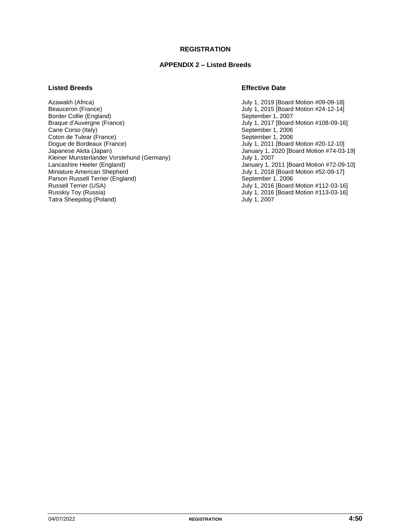#### **REGISTRATION**

#### **APPENDIX 2 – Listed Breeds**

Azawakh (Africa) July 1, 2019 [Board Motion #09-09-18] Border Collie (England)<br>Braque d'Auvergne (France) Braque d'Auvergne (France)<br>
Cane Corso (Italy)<br>
Cane Corso (Italy) Coton de Tulear (France)<br>Dogue de Bordeaux (France) Dogue de Bordeaux (France) <br>
July 1, 2011 [Board Motion #20-12-10]<br>
January 1, 2020 [Board Motion #74-03-<br>
January 1, 2020 [Board Motion #74-03-Kleiner Munsterlander Vorstehund (Germany) and July 1, 2007<br>
Lancashire Heeler (England) and January 1, 2007 Lancashire Heeler (England) **Lancashire Heeler (England)** January 1, 2011 [Board Motion #72-09-10]<br>Miniature American Shepherd **July 1, 2018 [Board Motion #52-09-17]** Parson Russell Terrier (England)<br>Russell Terrier (USA) Russell Terrier (USA) The Control of the USA of the USA of the USA of the USA of the USA of the USA of the USA<br>Tuly 1, 2016 [Board Motion #113-03-16] July 1, 2016 [Board Motion #113-03-16] Tatra Sheepdog (Poland)

#### **Listed Breeds Effective Date**

July 1, 2015 [Board Motion #24-12-14]<br>September 1, 2007 September 1, 2006<br>September 1, 2006 January 1, 2020 [Board Motion #74-03-19] July 1, 2018 [Board Motion #52-09-17]<br>September 1, 2006 July 1, 2016 [Board Motion #113-03-16]<br>July 1, 2007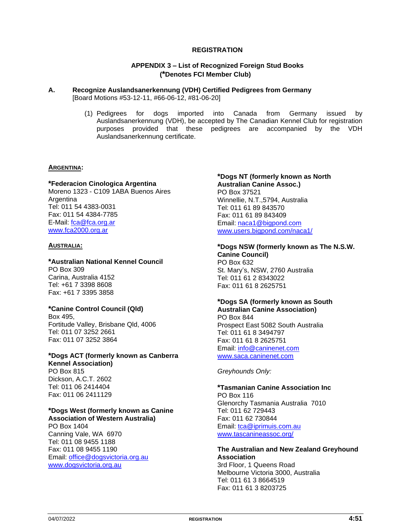#### **REGISTRATION**

#### **APPENDIX 3 – List of Recognized Foreign Stud Books (\*Denotes FCI Member Club)**

#### **A. Recognize Auslandsanerkennung (VDH) Certified Pedigrees from Germany** [Board Motions #53-12-11, #66-06-12, #81-06-20]

(1) Pedigrees for dogs imported into Canada from Germany issued by Auslandsanerkennung (VDH), be accepted by The Canadian Kennel Club for registration purposes provided that these pedigrees are accompanied by the VDH Auslandsanerkennung certificate.

#### **ARGENTINA:**

#### **\*Federacion Cinologica Argentina**

Moreno 1323 - C109 1ABA Buenos Aires **Argentina** Tel: 011 54 4383-0031 Fax: 011 54 4384-7785 E-Mail: fca@fca.org.ar [www.fca2000.org.ar](http://www.fca2000.org.ar/)

#### **AUSTRALIA:**

#### **\*Australian National Kennel Council** PO Box 309 Carina, Australia 4152 Tel: +61 7 3398 8608 Fax: +61 7 3395 3858

#### **\*Canine Control Council (Qld)**

Box 495, Fortitude Valley, Brisbane Qld, 4006 Tel: 011 07 3252 2661 Fax: 011 07 3252 3864

### **\*Dogs ACT (formerly known as Canberra**

**Kennel Association)** PO Box 815 Dickson, A.C.T. 2602 Tel: 011 06 2414404 Fax: 011 06 2411129

#### **\*Dogs West (formerly known as Canine Association of Western Australia)**

PO Box 1404 Canning Vale, WA 6970 Tel: 011 08 9455 1188 Fax: 011 08 9455 1190 Email: [office@dogsvictoria.org.au](mailto:office@dogsvictoria.org.au) [www.dogsvictoria.org.au](http://www.dogsvictoria.org.au/)

#### **\*Dogs NT (formerly known as North Australian Canine Assoc.)** PO Box 37521 Winnellie, N.T.,5794, Australia Tel: 011 61 89 843570 Fax: 011 61 89 843409 Email: [naca1@bigpond.com](mailto:naca1@bigpond.com) [www.users.bigpond.com/naca1/](http://www.users.bigpond.com/naca1/)

### **\*Dogs NSW (formerly known as The N.S.W.**

**Canine Council)** PO Box 632 St. Mary's, NSW, 2760 Australia Tel: 011 61 2 8343022 Fax: 011 61 8 2625751

#### **\*Dogs SA (formerly known as South Australian Canine Association)**

PO Box 844 Prospect East 5082 South Australia Tel: 011 61 8 3494797 Fax: 011 61 8 2625751 Email: [info@caninenet.com](mailto:info@caninenet.com) [www.saca.caninenet.com](http://www.saca.caninenet.com/)

*Greyhounds Only:*

**\*Tasmanian Canine Association Inc** PO Box 116 Glenorchy Tasmania Australia 7010 Tel: 011 62 729443 Fax: 011 62 730844 Email: [tca@iprimuis.com.au](mailto:tca@iprimuis.com.au) [www.tascanineassoc.org/](http://www.tascanineassoc.org/)

### **The Australian and New Zealand Greyhound Association** 3rd Floor, 1 Queens Road

Melbourne Victoria 3000, Australia Tel: 011 61 3 8664519 Fax: 011 61 3 8203725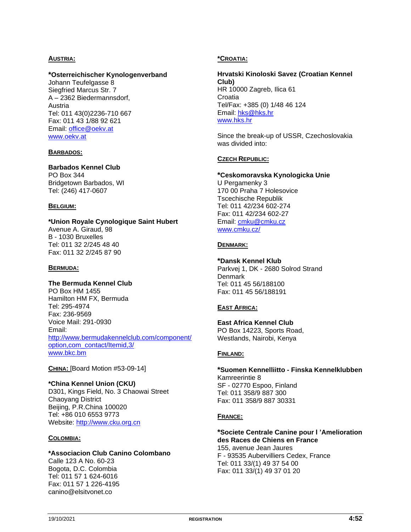#### **AUSTRIA:**

#### **\*Osterreichischer Kynologenverband**

Johann Teufelgasse 8 Siegfried Marcus Str. 7 A – 2362 Biedermannsdorf, Austria Tel: 011 43(0)2236-710 667 Fax: 011 43 1/88 92 621 Email: [office@oekv.at](mailto:office@oekv.at) [www.oekv.at](http://www.oekv.at/)

#### **BARBADOS:**

#### **Barbados Kennel Club**

PO Box 344 Bridgetown Barbados, WI Tel: (246) 417-0607

#### **BELGIUM:**

#### **\*Union Royale Cynologique Saint Hubert**

Avenue A. Giraud, 98 B - 1030 Bruxelles Tel: 011 32 2/245 48 40 Fax: 011 32 2/245 87 90

#### **BERMUDA:**

#### **The Bermuda Kennel Club**

PO Box HM 1455 Hamilton HM FX, Bermuda Tel: 295-4974 Fax: 236-9569 Voice Mail: 291-0930 Email: [http://www.bermudakennelclub.com/component/](http://www.bermudakennelclub.com/component/option,com_contact/Itemid,3/) [option,com\\_contact/Itemid,3/](http://www.bermudakennelclub.com/component/option,com_contact/Itemid,3/) [www.bkc.bm](http://www.bkc.bm/)

**CHINA:** [Board Motion #53-09-14]

#### **\*China Kennel Union (CKU)** D301, Kings Field, No. 3 Chaowai Street Chaoyang District Beijing, P.R.China 100020 Tel: +86 010 6553 9773 Website: [http://www.cku.org.cn](http://www.cku.org.cn/)

#### **COLOMBIA:**

#### **\*Associacion Club Canino Colombano**

Calle 123 A No. 60-23 Bogota, D.C. Colombia Tel: 011 57 1 624-6016 Fax: 011 57 1 226-4195 canino@elsitvonet.co

#### **\*CROATIA:**

**Hrvatski Kinoloski Savez (Croatian Kennel Club)** HR 10000 Zagreb, Ilica 61 **Croatia** Tel/Fax: +385 (0) 1/48 46 124 Email: [hks@hks.hr](mailto:hks@hks.hr) [www.hks.hr](http://www.hks.hr/)

Since the break-up of USSR, Czechoslovakia was divided into:

#### **CZECH REPUBLIC:**

#### **\*Ceskomoravska Kynologicka Unie**

U Pergamenky 3 170 00 Praha 7 Holesovice Tscechische Republik Tel: 011 42/234 602-274 Fax: 011 42/234 602-27 Email: [cmku@cmku.cz](mailto:cmku@cmku.cz) [www.cmku.cz/](http://www.cmku.cz/)

#### **DENMARK:**

#### **\*Dansk Kennel Klub**

Parkvej 1, DK - 2680 Solrod Strand **Denmark** Tel: 011 45 56/188100 Fax: 011 45 56/188191

#### **EAST AFRICA:**

**East Africa Kennel Club** PO Box 14223, Sports Road, Westlands, Nairobi, Kenya

#### **FINLAND:**

**\*Suomen Kennelliitto - Finska Kennelklubben** Kamreerintie 8 SF - 02770 Espoo, Finland Tel: 011 358/9 887 300 Fax: 011 358/9 887 30331

#### **FRANCE:**

#### **\*Societe Centrale Canine pour l 'Amelioration des Races de Chiens en France** 155, avenue Jean Jaures F - 93535 Aubervilliers Cedex, France

Tel: 011 33/(1) 49 37 54 00 Fax: 011 33/(1) 49 37 01 20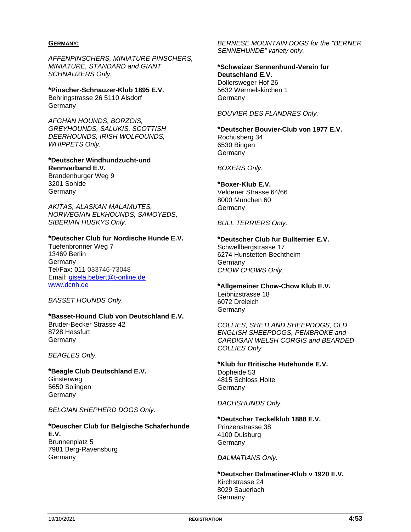#### **GERMANY:**

*AFFENPINSCHERS, MINIATURE PINSCHERS, MINIATURE, STANDARD and GIANT SCHNAUZERS Only.*

**\*Pinscher-Schnauzer-Klub 1895 E.V.** Behringstrasse 26 5110 Alsdorf **Germany** 

*AFGHAN HOUNDS, BORZOIS, GREYHOUNDS, SALUKIS, SCOTTISH DEERHOUNDS, IRISH WOLFOUNDS, WHIPPETS Only.*

**\*Deutscher Windhundzucht-und Rennverband E.V.** Brandenburger Weg 9 3201 Sohlde

Germany *AKITAS, ALASKAN MALAMUTES,* 

*NORWEGIAN ELKHOUNDS, SAMOYEDS, SIBERIAN HUSKYS Only.*

#### **\*Deutscher Club fur Nordische Hunde E.V.**

Tuefenbronner Weg 7 13469 Berlin **Germany** Tel/Fax: 011 033746-73048 Email: [gisela.bebert@t-online.de](mailto:gisela.bebert@t-online.de) [www.dcnh.de](http://www.dcnh.de/)

*BASSET HOUNDS Only.*

#### **\*Basset-Hound Club von Deutschland E.V.**

Bruder-Becker Strasse 42 8728 Hassfurt **Germany** 

*BEAGLES Only.*

**\*Beagle Club Deutschland E.V.** Ginsterweg 5650 Solingen **Germany** 

*BELGIAN SHEPHERD DOGS Only.*

#### **\*Deuscher Club fur Belgische Schaferhunde E.V.** Brunnenplatz 5 7981 Berg-Ravensburg Germany

*BERNESE MOUNTAIN DOGS for the "BERNER SENNEHUNDE" variety only.*

**\*Schweizer Sennenhund-Verein fur Deutschland E.V.** Dollersweger Hof 26 5632 Wermelskirchen 1 Germany

*BOUVIER DES FLANDRES Only.*

**\*Deutscher Bouvier-Club von 1977 E.V.** Rochusberg 34 6530 Bingen **Germany** 

*BOXERS Only.*

**\*Boxer-Klub E.V.**

Veldener Strasse 64/66 8000 Munchen 60 Germany

*BULL TERRIERS Only.*

**\*Deutscher Club fur Bullterrier E.V.** Schwellbergstrasse 17 6274 Hunstetten-Bechtheim Germany *CHOW CHOWS Only.*

**\*Allgemeiner Chow-Chow Klub E.V.** Leibnizstrasse 18 6072 Dreieich **Germany** 

*COLLIES, SHETLAND SHEEPDOGS, OLD ENGLISH SHEEPDOGS, PEMBROKE and CARDIGAN WELSH CORGIS and BEARDED COLLIES Only.*

**\*Klub fur Britische Hutehunde E.V.** Dopheide 53 4815 Schloss Holte **Germany** 

*DACHSHUNDS Only.*

**\*Deutscher Teckelklub 1888 E.V.** Prinzenstrasse 38 4100 Duisburg **Germany** 

*DALMATIANS Only.*

**\*Deutscher Dalmatiner-Klub v 1920 E.V.** Kirchstrasse 24 8029 Sauerlach Germany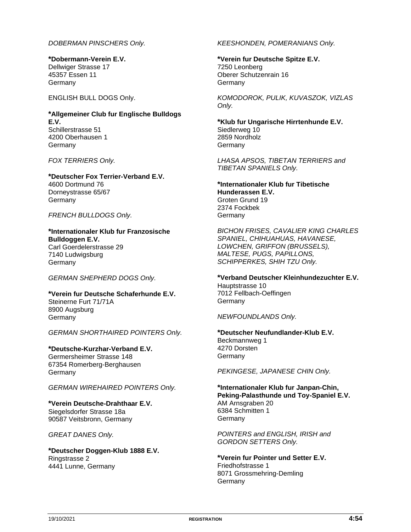#### *DOBERMAN PINSCHERS Only.*

**\*Dobermann-Verein E.V.** Dellwiger Strasse 17 45357 Essen 11 Germany

ENGLISH BULL DOGS Only.

#### **\*Allgemeiner Club fur Englische Bulldogs E.V.** Schillerstrasse 51 4200 Oberhausen 1 Germany

*FOX TERRIERS Only.*

#### **\*Deutscher Fox Terrier-Verband E.V.** 4600 Dortmund 76 Dorneystrasse 65/67 **Germany**

*FRENCH BULLDOGS Only.*

#### **\*Internationaler Klub fur Franzosische Bulldoggen E.V.** Carl Goerdelerstrasse 29 7140 Ludwigsburg **Germany**

*GERMAN SHEPHERD DOGS Only.*

#### **\*Verein fur Deutsche Schaferhunde E.V.** Steinerne Furt 71/71A 8900 Augsburg **Germany**

*GERMAN SHORTHAIRED POINTERS Only.*

### **\*Deutsche-Kurzhar-Verband E.V.**

Germersheimer Strasse 148 67354 Romerberg-Berghausen Germany

#### *GERMAN WIREHAIRED POINTERS Only.*

#### **\*Verein Deutsche-Drahthaar E.V.** Siegelsdorfer Strasse 18a 90587 Veitsbronn, Germany

*GREAT DANES Only.*

#### **\*Deutscher Doggen-Klub 1888 E.V.** Ringstrasse 2 4441 Lunne, Germany

*KEESHONDEN, POMERANIANS Only.*

**\*Verein fur Deutsche Spitze E.V.** 7250 Leonberg Oberer Schutzenrain 16 **Germany** 

*KOMODOROK, PULIK, KUVASZOK, VIZLAS Only.*

**\*Klub fur Ungarische Hirrtenhunde E.V.** Siedlerweg 10 2859 Nordholz **Germany** 

*LHASA APSOS, TIBETAN TERRIERS and TIBETAN SPANIELS Only.*

#### **\*Internationaler Klub fur Tibetische Hunderassen E.V.** Groten Grund 19 2374 Fockbek **Germany**

*BICHON FRISES, CAVALIER KING CHARLES SPANIEL, CHIHUAHUAS, HAVANESE, LOWCHEN, GRIFFON (BRUSSELS), MALTESE, PUGS, PAPILLONS, SCHIPPERKES, SHIH TZU Only.*

## **\*Verband Deutscher Kleinhundezuchter E.V.**

Hauptstrasse 10 7012 Fellbach-Oeffingen **Germany** 

*NEWFOUNDLANDS Only.*

#### **\*Deutscher Neufundlander-Klub E.V.** Beckmannweg 1 4270 Dorsten **Germany**

*PEKINGESE, JAPANESE CHIN Only.*

### **\*Internationaler Klub fur Janpan-Chin, Peking-Palasthunde und Toy-Spaniel E.V.**

AM Arnsgraben 20 6384 Schmitten 1 **Germany** 

*POINTERS and ENGLISH, IRISH and GORDON SETTERS Only.*

#### **\*Verein fur Pointer und Setter E.V.** Friedhofstrasse 1 8071 Grossmehring-Demling **Germany**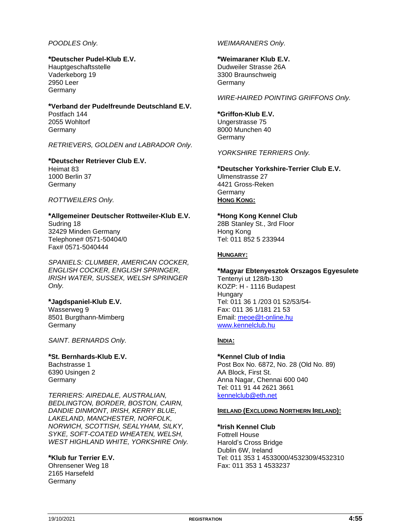#### *POODLES Only.*

#### **\*Deutscher Pudel-Klub E.V.**

Hauptgeschaftsstelle Vaderkeborg 19 2950 Leer Germany

#### **\*Verband der Pudelfreunde Deutschland E.V.** Postfach 144 2055 Wohltorf **Germany**

*RETRIEVERS, GOLDEN and LABRADOR Only.*

**\*Deutscher Retriever Club E.V.** Heimat 83 1000 Berlin 37 **Germany** 

#### *ROTTWEILERS Only.*

**\*Allgemeiner Deutscher Rottweiler-Klub E.V.** Sudring 18 32429 Minden Germany Telephone# 0571-50404/0 Fax# 0571-5040444

*SPANIELS: CLUMBER, AMERICAN COCKER, ENGLISH COCKER, ENGLISH SPRINGER, IRISH WATER, SUSSEX, WELSH SPRINGER Only.*

#### **\*Jagdspaniel-Klub E.V.**

Wasserweg 9 8501 Burgthann-Mimberg **Germany** 

*SAINT. BERNARDS Only.*

#### **\*St. Bernhards-Klub E.V.** Bachstrasse 1 6390 Usingen 2 Germany

*TERRIERS: AIREDALE, AUSTRALIAN, BEDLINGTON, BORDER, BOSTON, CAIRN, DANDIE DINMONT, IRISH, KERRY BLUE, LAKELAND, MANCHESTER, NORFOLK, NORWICH, SCOTTISH, SEALYHAM, SILKY, SYKE, SOFT-COATED WHEATEN, WELSH, WEST HIGHLAND WHITE, YORKSHIRE Only.*

#### **\*Klub fur Terrier E.V.**

Ohrensener Weg 18 2165 Harsefeld Germany

#### *WEIMARANERS Only.*

#### **\*Weimaraner Klub E.V.**

Dudweiler Strasse 26A 3300 Braunschweig **Germany** 

*WIRE-HAIRED POINTING GRIFFONS Only.*

#### **\*Griffon-Klub E.V.**

Ungerstrasse 75 8000 Munchen 40 **Germany** 

*YORKSHIRE TERRIERS Only.*

#### **\*Deutscher Yorkshire-Terrier Club E.V.** Ulmenstrasse 27 4421 Gross-Reken **Germany HONG KONG:**

#### **\*Hong Kong Kennel Club**

28B Stanley St., 3rd Floor Hong Kong Tel: 011 852 5 233944

#### **HUNGARY:**

## **\*Magyar Ebtenyesztok Orszagos Egyesulete**

Tentenyi ut 128/b-130 KOZP: H - 1116 Budapest **Hungary** Tel: 011 36 1 /203 01 52/53/54- Fax: 011 36 1/181 21 53 Email: [meoe@t-online.hu](mailto:meoe@t-online.hu) [www.kennelclub.hu](http://www.kennelclub.hu/)

#### **INDIA:**

**\*Kennel Club of India** Post Box No. 6872, No. 28 (Old No. 89) AA Block, First St. Anna Nagar, Chennai 600 040 Tel: 011 91 44 2621 3661 [kennelclub@eth.net](mailto:kennelclub@eth.net)

#### **IRELAND (EXCLUDING NORTHERN IRELAND):**

**\*Irish Kennel Club** Fottrell House Harold's Cross Bridge Dublin 6W, Ireland Tel: 011 353 1 4533000/4532309/4532310 Fax: 011 353 1 4533237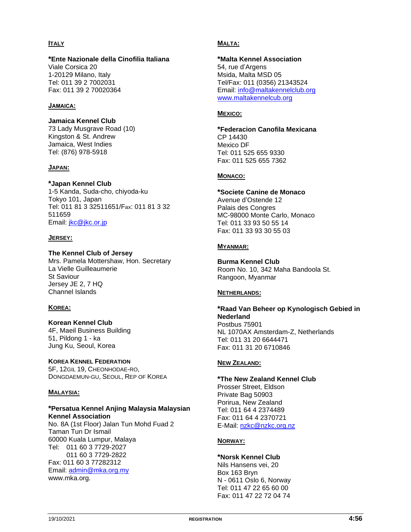#### **ITALY**

### **\*Ente Nazionale della Cinofilia Italiana**

Viale Corsica 20 1-20129 Milano, Italy Tel: 011 39 2 7002031 Fax: 011 39 2 70020364

#### **JAMAICA:**

**Jamaica Kennel Club** 73 Lady Musgrave Road (10) Kingston & St. Andrew Jamaica, West Indies Tel: (876) 978-5918

#### **JAPAN:**

#### **\*Japan Kennel Club**

1-5 Kanda, Suda-cho, chiyoda-ku Tokyo 101, Japan Tel: 011 81 3 32511651/Fax: 011 81 3 32 511659 Email: [jkc@jkc.or.jp](mailto:jkc@jkc.or.jp)

#### **JERSEY:**

#### **The Kennel Club of Jersey**

Mrs. Pamela Mottershaw, Hon. Secretary La Vielle Guilleaumerie St Saviour Jersey JE 2, 7 HQ Channel Islands

#### **KOREA:**

#### **Korean Kennel Club**

4F, Maeil Business Building 51, Pildong 1 - ka Jung Ku, Seoul, Korea

#### **KOREA KENNEL FEDERATION**

5F, 12GIL 19, CHEONHODAE-RO, DONGDAEMUN-GU, SEOUL, REP OF KOREA

#### **MALAYSIA:**

#### **\*Persatua Kennel Anjing Malaysia Malaysian Kennel Association**

No. 8A (1st Floor) Jalan Tun Mohd Fuad 2 Taman Tun Dr Ismail 60000 Kuala Lumpur, Malaya Tel: 011 60 3 7729-2027 011 60 3 7729-2822 Fax: 011 60 3 77282312 Email: [admin@mka.org.my](mailto:admin@mka.org.my) www.mka.org.

#### **MALTA:**

#### **\*Malta Kennel Association** 54, rue d'Argens

Msida, Malta MSD 05 Tel/Fax: 011 (0356) 21343524 Email: [info@maltakennelclub.org](mailto:info@maltakennelclub.org) [www.maltakennelcub.org](http://www.maltakennelcub.org/)

#### **MEXICO:**

**\*Federacion Canofila Mexicana** CP 14430 Mexico DF Tel: 011 525 655 9330 Fax: 011 525 655 7362

#### **MONACO:**

**\*Societe Canine de Monaco** Avenue d'Ostende 12 Palais des Congres MC-98000 Monte Carlo, Monaco Tel: 011 33 93 50 55 14 Fax: 011 33 93 30 55 03

#### **MYANMAR:**

**Burma Kennel Club** Room No. 10, 342 Maha Bandoola St. Rangoon, Myanmar

#### **NETHERLANDS:**

**\*Raad Van Beheer op Kynologisch Gebied in Nederland** Postbus 75901 NL 1070AX Amsterdam-Z, Netherlands Tel: 011 31 20 6644471 Fax: 011 31 20 6710846

#### **NEW ZEALAND:**

### **\*The New Zealand Kennel Club**

Prosser Street, Eldson Private Bag 50903 Porirua, New Zealand Tel: 011 64 4 2374489 Fax: 011 64 4 2370721 E-Mail: nzkc@nzkc.org.nz

#### **NORWAY:**

**\*Norsk Kennel Club** Nils Hansens vei, 20 Box 163 Bryn N - 0611 Oslo 6, Norway Tel: 011 47 22 65 60 00 Fax: 011 47 22 72 04 74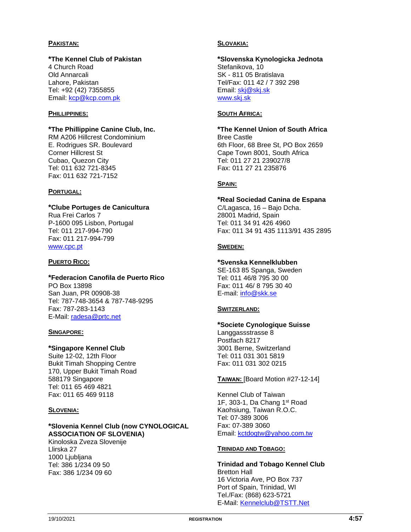#### **PAKISTAN:**

### **\*The Kennel Club of Pakistan**

4 Church Road Old Annarcali Lahore, Pakistan Tel: +92 (42) 7355855 Email: [kcp@kcp.com.pk](mailto:kcp@kcp.com.pk)

#### **PHILLIPPINES:**

#### **\*The Phillippine Canine Club, Inc.**

RM A206 Hillcrest Condominium E. Rodrigues SR. Boulevard Corner Hillcrest St Cubao, Quezon City Tel: 011 632 721-8345 Fax: 011 632 721-7152

### **PORTUGAL:**

#### **\*Clube Portuges de Canicultura**

Rua Frei Carlos 7 P-1600 095 Lisbon, Portugal Tel: 011 217-994-790 Fax: 011 217-994-799 [www.cpc.pt](http://www.cpc.pt/)

#### **PUERTO RICO:**

### **\*Federacion Canofila de Puerto Rico**

PO Box 13898 San Juan, PR 00908-38 Tel: 787-748-3654 & 787-748-9295 Fax: 787-283-1143 E-Mail: [radesa@prtc.net](mailto:radesa@prtc.net)

#### **SINGAPORE:**

#### **\*Singapore Kennel Club**

Suite 12-02, 12th Floor Bukit Timah Shopping Centre 170, Upper Bukit Timah Road 588179 Singapore Tel: 011 65 469 4821 Fax: 011 65 469 9118

#### **SLOVENIA:**

#### **\*Slovenia Kennel Club (now CYNOLOGICAL ASSOCIATION OF SLOVENIA)**

Kinoloska Zveza Slovenije Llirska 27 1000 Ljubljana Tel: 386 1/234 09 50 Fax: 386 1/234 09 60

#### **SLOVAKIA:**

#### **\*Slovenska Kynologicka Jednota** Stefanikova, 10 SK - 811 05 Bratislava Tel/Fax: 011 42 / 7 392 298 Email: [skj@skj.sk](mailto:skj@skj.sk) [www.skj.sk](http://www.skj.sk/)

#### **SOUTH AFRICA:**

**\*The Kennel Union of South Africa** Bree Castle 6th Floor, 68 Bree St, PO Box 2659 Cape Town 8001, South Africa Tel: 011 27 21 239027/8 Fax: 011 27 21 235876

#### **SPAIN:**

### **\*Real Sociedad Canina de Espana**

C/Lagasca, 16 – Bajo Dcha. 28001 Madrid, Spain Tel: 011 34 91 426 4960 Fax: 011 34 91 435 1113/91 435 2895

#### **SWEDEN:**

#### **\*Svenska Kennelklubben**

SE-163 85 Spanga, Sweden Tel: 011 46/8 795 30 00 Fax: 011 46/ 8 795 30 40 E-mail: [info@skk.se](mailto:info@skk.se)

#### **SWITZERLAND:**

#### **\*Societe Cynologique Suisse** Langgassstrasse 8

Postfach 8217 3001 Berne, Switzerland Tel: 011 031 301 5819 Fax: 011 031 302 0215

#### **TAIWAN:** [Board Motion #27-12-14]

Kennel Club of Taiwan 1F, 303-1, Da Chang 1st Road Kaohsiung, Taiwan R.O.C. Tel: 07-389 3006 Fax: 07-389 3060 Email: [kctdogtw@yahoo.com.tw](mailto:kctdogtw@yahoo.com.tw)

#### **TRINIDAD AND TOBAGO:**

**Trinidad and Tobago Kennel Club** Bretton Hall 16 Victoria Ave, PO Box 737 Port of Spain, Trinidad, WI Tel./Fax: (868) 623-5721 E-Mail: [Kennelclub@TSTT.Net](mailto:Kennelclub@TSTT.Net)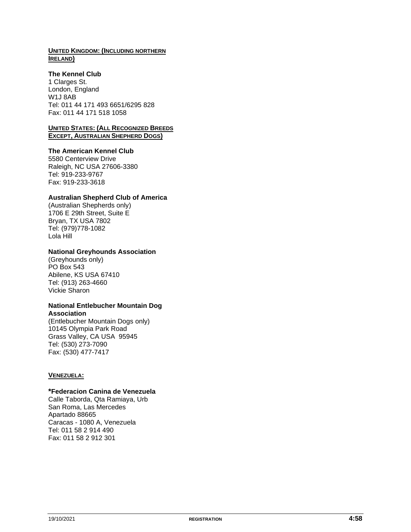#### **UNITED KINGDOM: (INCLUDING NORTHERN IRELAND)**

#### **The Kennel Club**

1 Clarges St. London, England W1J 8AB Tel: 011 44 171 493 6651/6295 828 Fax: 011 44 171 518 1058

#### **UNITED STATES: (ALL RECOGNIZED BREEDS EXCEPT, AUSTRALIAN SHEPHERD DOGS)**

#### **The American Kennel Club**

5580 Centerview Drive Raleigh, NC USA 27606-3380 Tel: 919-233-9767 Fax: 919-233-3618

#### **Australian Shepherd Club of America**

(Australian Shepherds only) 1706 E 29th Street, Suite E Bryan, TX USA 7802 Tel: (979)778-1082 Lola Hill

#### **National Greyhounds Association**

(Greyhounds only) PO Box 543 Abilene, KS USA 67410 Tel: (913) 263-4660 Vickie Sharon

#### **National Entlebucher Mountain Dog Association**

(Entlebucher Mountain Dogs only) 10145 Olympia Park Road Grass Valley, CA USA 95945 Tel: (530) 273-7090 Fax: (530) 477-7417

#### **VENEZUELA:**

#### **\*Federacion Canina de Venezuela**

Calle Taborda, Qta Ramiaya, Urb San Roma, Las Mercedes Apartado 88665 Caracas - 1080 A, Venezuela Tel: 011 58 2 914 490 Fax: 011 58 2 912 301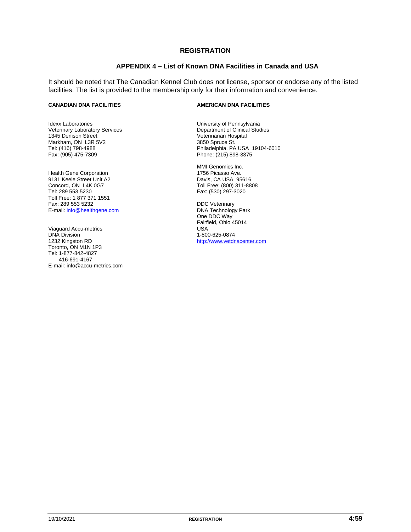#### **REGISTRATION**

#### **APPENDIX 4 – List of Known DNA Facilities in Canada and USA**

It should be noted that The Canadian Kennel Club does not license, sponsor or endorse any of the listed facilities. The list is provided to the membership only for their information and convenience.

Idexx Laboratories Veterinary Laboratory Services 1345 Denison Street Markham, ON L3R 5V2 Tel: (416) 798-4988 Fax: (905) 475-7309

Health Gene Corporation 9131 Keele Street Unit A2 Concord, ON L4K 0G7 Tel: 289 553 5230 Toll Free: 1 877 371 1551 Fax: 289 553 5232 E-mail: info@healthgene.com

Viaguard Accu-metrics DNA Division 1232 Kingston RD Toronto, ON M1N 1P3 Tel: 1-877-842-4827 416-691-4167 E-mail: info@accu-metrics.com

#### **CANADIAN DNA FACILITIES AMERICAN DNA FACILITIES**

University of Pennsylvania Department of Clinical Studies Veterinarian Hospital 3850 Spruce St. Philadelphia, PA USA 19104-6010 Phone: (215) 898-3375

MMI Genomics Inc. 1756 Picasso Ave. Davis, CA USA 95616 Toll Free: (800) 311-8808 Fax: (530) 297-3020

DDC Veterinary DNA Technology Park One DDC Way Fairfield, Ohio 45014 USA 1-800-625-0874 http://www.vetdnacenter.com